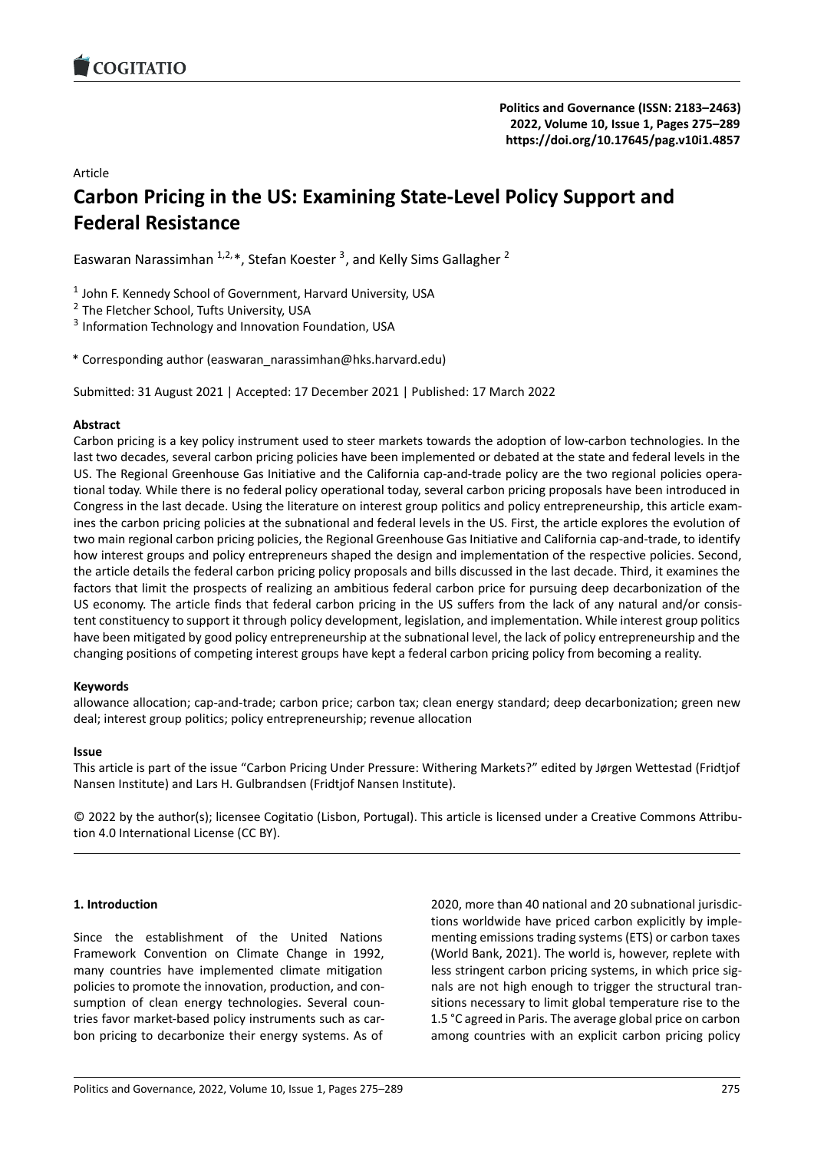### Article

# **Carbon Pricing in the US: Examining State‐Level [Policy Support and](https://doi.org/10.17645/pag.v10i1.4857) Federal Resistance**

Easwaran Narassimhan  $^{1,2,*}$ , Stefan Koester <sup>3</sup>, and Kelly Sims Gallagher <sup>2</sup>

<sup>1</sup> John F. Kennedy School of Government, Harvard University, USA

<sup>2</sup> The Fletcher School, Tufts University, USA

<sup>3</sup> Information Technology and Innovation Foundation, USA

\* Corresponding author (easwaran\_narassimhan@hks.harvard.edu)

Submitted: 31 August 2021 | Accepted: 17 December 2021 | Published: 17 March 2022

### **Abstract**

Carbon pricing is a key policy instrument used to steer markets towards the adoption of low‐carbon technologies. In the last two decades, several carbon pricing policies have been implemented or debated at the state and federal levels in the US. The Regional Greenhouse Gas Initiative and the California cap-and-trade policy are the two regional policies operational today. While there is no federal policy operational today, several carbon pricing proposals have been introduced in Congress in the last decade. Using the literature on interest group politics and policy entrepreneurship, this article exam‐ ines the carbon pricing policies at the subnational and federal levels in the US. First, the article explores the evolution of two main regional carbon pricing policies, the Regional Greenhouse Gas Initiative and California cap-and-trade, to identify how interest groups and policy entrepreneurs shaped the design and implementation of the respective policies. Second, the article details the federal carbon pricing policy proposals and bills discussed in the last decade. Third, it examines the factors that limit the prospects of realizing an ambitious federal carbon price for pursuing deep decarbonization of the US economy. The article finds that federal carbon pricing in the US suffers from the lack of any natural and/or consis‐ tent constituency to support it through policy development, legislation, and implementation. While interest group politics have been mitigated by good policy entrepreneurship at the subnational level, the lack of policy entrepreneurship and the changing positions of competing interest groups have kept a federal carbon pricing policy from becoming a reality.

### **Keywords**

allowance allocation; cap‐and‐trade; carbon price; carbon tax; clean energy standard; deep decarbonization; green new deal; interest group politics; policy entrepreneurship; revenue allocation

### **Issue**

This article is part of the issue "Carbon Pricing Under Pressure: Withering Markets?" edited by Jørgen Wettestad (Fridtjof Nansen Institute) and Lars H. Gulbrandsen (Fridtjof Nansen Institute).

© 2022 by the author(s); licensee Cogitatio (Lisbon, Portugal). This article is licensed under a Creative Commons Attribu‐ tion 4.0 International License (CC BY).

### **1. Introduction**

Since the establishment of the United Nations Framework Convention on Climate Change in 1992, many countries have implemented climate mitigation policies to promote the innovation, production, and con‐ sumption of clean energy technologies. Several countries favor market‐based policy instruments such as car‐ bon pricing to decarbonize their energy systems. As of

2020, more than 40 national and 20 subnational jurisdic‐ tions worldwide have priced carbon explicitly by imple‐ menting emissions trading systems (ETS) or carbon taxes (World Bank, 2021). The world is, however, replete with less stringent carbon pricing systems, in which price sig‐ nals are not high enough to trigger the structural tran‐ sitions necessary to limit global temperature rise to the 1.5 °C agreed in Paris. The average global price on carbon among countries with an explicit carbon pricing policy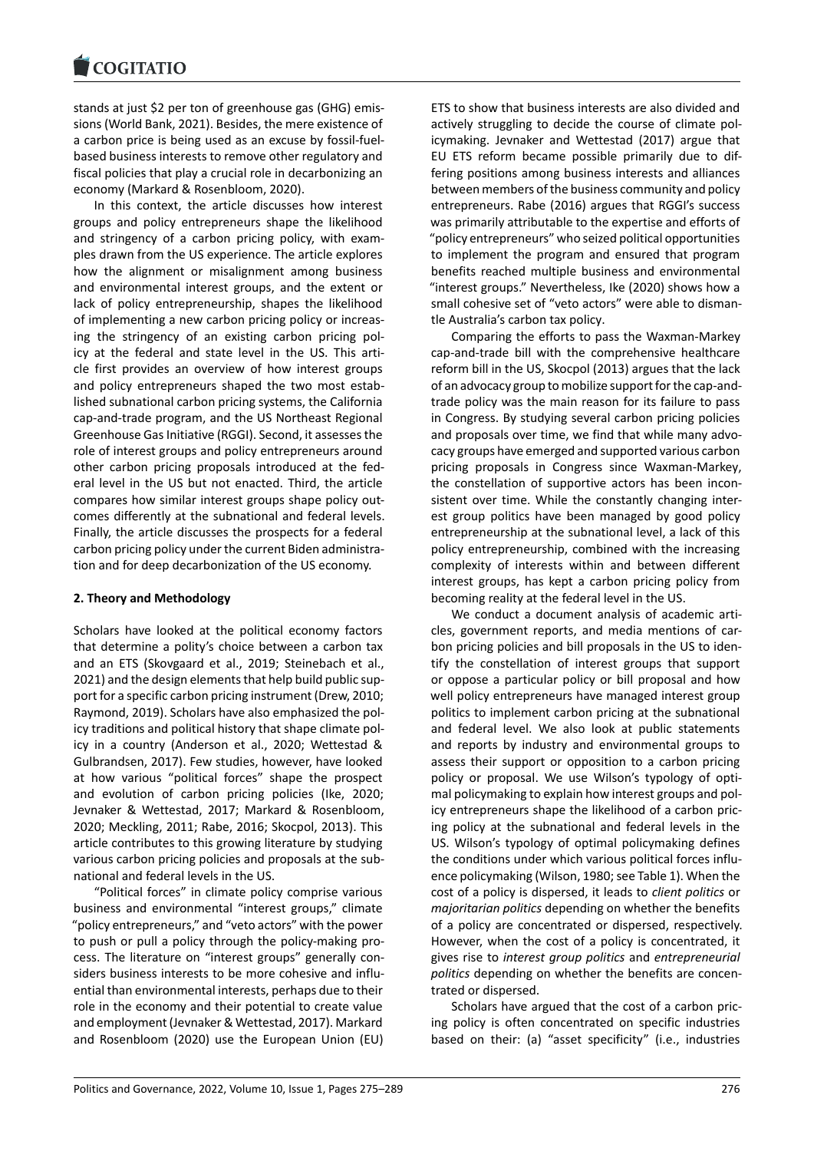stands at just \$2 per ton of greenhouse gas (GHG) emis[sions \(World Bank, 20](https://www.cogitatiopress.com)21). Besides, the mere existence of a carbon price is being used as an excuse by fossil‐fuel‐ based business interests to remove other regulatory and fiscal policies that play a crucial role in decarbonizing an economy (Markard & Rosenbloom, 2020).

In this context, the article discusses how interest groups and policy entrepreneurs shape the likelihood and stringency of a carbon pricing policy, with exam‐ ples drawn from the US experience. The article explores how the alignment or misalignment among business and environmental interest groups, and the extent or lack of policy entrepreneurship, shapes the likelihood of implementing a new carbon pricing policy or increas‐ ing the stringency of an existing carbon pricing pol‐ icy at the federal and state level in the US. This arti‐ cle first provides an overview of how interest groups and policy entrepreneurs shaped the two most estab‐ lished subnational carbon pricing systems, the California cap‐and‐trade program, and the US Northeast Regional Greenhouse Gas Initiative (RGGI). Second, it assesses the role of interest groups and policy entrepreneurs around other carbon pricing proposals introduced at the fed‐ eral level in the US but not enacted. Third, the article compares how similar interest groups shape policy out‐ comes differently at the subnational and federal levels. Finally, the article discusses the prospects for a federal carbon pricing policy under the current Biden administra‐ tion and for deep decarbonization of the US economy.

### **2. Theory and Methodology**

Scholars have looked at the political economy factors that determine a polity's choice between a carbon tax and an ETS (Skovgaard et al., 2019; Steinebach et al., 2021) and the design elements that help build public sup‐ port for a specific carbon pricing instrument (Drew, 2010; Raymond, 2019). Scholars have also emphasized the pol‐ icy traditions and political history that shape climate pol‐ icy in a country (Anderson et al., 2020; Wettestad & Gulbrandsen, 2017). Few studies, however, have looked at how various "political forces" shape the prospect and evolution of carbon pricing policies (Ike, 2020; Jevnaker & Wettestad, 2017; Markard & Rosenbloom, 2020; Meckling, 2011; Rabe, 2016; Skocpol, 2013). This article contributes to this growing literature by studying various carbon pricing policies and proposals at the sub‐ national and federal levels in the US.

"Political forces" in climate policy comprise various business and environmental "interest groups," climate "policy entrepreneurs," and "veto actors" with the power to push or pull a policy through the policy-making process. The literature on "interest groups" generally con‐ siders business interests to be more cohesive and influ‐ ential than environmental interests, perhaps due to their role in the economy and their potential to create value and employment (Jevnaker & Wettestad, 2017). Markard and Rosenbloom (2020) use the European Union (EU) ETS to show that business interests are also divided and actively struggling to decide the course of climate pol‐ icymaking. Jevnaker and Wettestad (2017) argue that EU ETS reform became possible primarily due to dif‐ fering positions among business interests and alliances between members of the business community and policy entrepreneurs. Rabe (2016) argues that RGGI's success was primarily attributable to the expertise and efforts of "policy entrepreneurs" who seized political opportunities to implement the program and ensured that program benefits reached multiple business and environmental "interest groups." Nevertheless, Ike (2020) shows how a small cohesive set of "veto actors" were able to disman‐ tle Australia's carbon tax policy.

Comparing the efforts to pass the Waxman‐Markey cap‐and‐trade bill with the comprehensive healthcare reform bill in the US, Skocpol (2013) argues that the lack of an advocacy group to mobilize support for the cap‐and‐ trade policy was the main reason for its failure to pass in Congress. By studying several carbon pricing policies and proposals over time, we find that while many advo‐ cacy groups have emerged and supported various carbon pricing proposals in Congress since Waxman‐Markey, the constellation of supportive actors has been incon‐ sistent over time. While the constantly changing inter‐ est group politics have been managed by good policy entrepreneurship at the subnational level, a lack of this policy entrepreneurship, combined with the increasing complexity of interests within and between different interest groups, has kept a carbon pricing policy from becoming reality at the federal level in the US.

We conduct a document analysis of academic articles, government reports, and media mentions of car‐ bon pricing policies and bill proposals in the US to iden‐ tify the constellation of interest groups that support or oppose a particular policy or bill proposal and how well policy entrepreneurs have managed interest group politics to implement carbon pricing at the subnational and federal level. We also look at public statements and reports by industry and environmental groups to assess their support or opposition to a carbon pricing policy or proposal. We use Wilson's typology of opti‐ mal policymaking to explain how interest groups and pol‐ icy entrepreneurs shape the likelihood of a carbon pric‐ ing policy at the subnational and federal levels in the US. Wilson's typology of optimal policymaking defines the conditions under which various political forces influ‐ ence policymaking (Wilson, 1980; see Table 1). When the cost of a policy is dispersed, it leads to *client politics* or *majoritarian politics* depending on whether the benefits of a policy are concentrated or dispersed, respectively. However, when the cost of a policy is concentrated, it gives rise to *interest group politics* and *entrepreneurial politics* depending on whether the benefits are concen‐ trated or dispersed.

Scholars have argued that the cost of a carbon pric‐ ing policy is often concentrated on specific industries based on their: (a) "asset specificity" (i.e., industries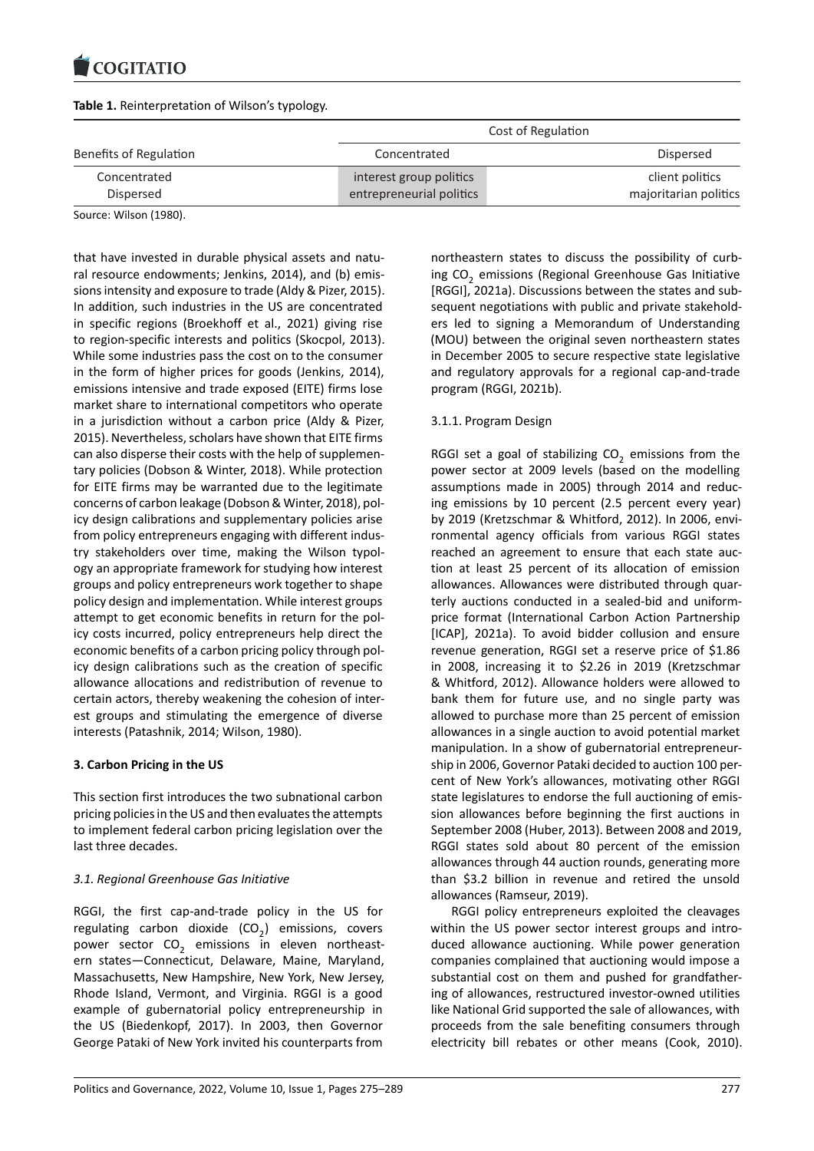#### COMITATIO

### **Table 1.** Reinterpretation of Wilson's typology.

| Benefits of Regulation    | Cost of Regulation                                  |                                          |  |
|---------------------------|-----------------------------------------------------|------------------------------------------|--|
|                           | Concentrated                                        | Dispersed                                |  |
| Concentrated<br>Dispersed | interest group politics<br>entrepreneurial politics | client politics<br>majoritarian politics |  |

Source: Wilson (1980).

that have invested in durable physical assets and natu‐ ral resource endowments; Jenkins, 2014), and (b) emis‐ sions intensity and exposure to trade (Aldy & Pizer, 2015). In addition, such industries in the US are concentrated in specific regions (Broekhoff et al., 2021) giving rise to region‐specific interests and politics (Skocpol, 2013). While some industries pass the cost on to the consumer in the form of higher prices for goods (Jenkins, 2014), emissions intensive and trade exposed (EITE) firms lose market share to international competitors who operate in a jurisdiction without a carbon price (Aldy & Pizer, 2015). Nevertheless, scholars have shown that EITE firms can also disperse their costs with the help of supplemen‐ tary policies (Dobson & Winter, 2018). While protection for EITE firms may be warranted due to the legitimate concerns of carbon leakage (Dobson & Winter, 2018), pol‐ icy design calibrations and supplementary policies arise from policy entrepreneurs engaging with different indus‐ try stakeholders over time, making the Wilson typol‐ ogy an appropriate framework for studying how interest groups and policy entrepreneurs work together to shape policy design and implementation. While interest groups attempt to get economic benefits in return for the pol‐ icy costs incurred, policy entrepreneurs help direct the economic benefits of a carbon pricing policy through pol‐ icy design calibrations such as the creation of specific allowance allocations and redistribution of revenue to certain actors, thereby weakening the cohesion of inter‐ est groups and stimulating the emergence of diverse interests (Patashnik, 2014; Wilson, 1980).

### **3. Carbon Pricing in the US**

This section first introduces the two subnational carbon pricing policies in the US and then evaluates the attempts to implement federal carbon pricing legislation over the last three decades.

### *3.1. Regional Greenhouse Gas Initiative*

RGGI, the first cap-and-trade policy in the US for  $regulating$  carbon dioxide  $(CO_2)$  emissions, covers power sector CO<sub>2</sub> emissions in eleven northeastern states—Connecticut, Delaware, Maine, Maryland, Massachusetts, New Hampshire, New York, New Jersey, Rhode Island, Vermont, and Virginia. RGGI is a good example of gubernatorial policy entrepreneurship in the US (Biedenkopf, 2017). In 2003, then Governor George Pataki of New York invited his counterparts from

northeastern states to discuss the possibility of curb‐ ing CO<sub>2</sub> emissions (Regional Greenhouse Gas Initiative [RGGI], 2021a). Discussions between the states and sub‐ sequent negotiations with public and private stakehold‐ ers led to signing a Memorandum of Understanding (MOU) between the original seven northeastern states in December 2005 to secure respective state legislative and regulatory approvals for a regional cap‐and‐trade program (RGGI, 2021b).

### 3.1.1. Program Design

RGGI set a goal of stabilizing  $CO_2$  emissions from the power sector at 2009 levels (based on the modelling assumptions made in 2005) through 2014 and reduc‐ ing emissions by 10 percent (2.5 percent every year) by 2019 (Kretzschmar & Whitford, 2012). In 2006, envi‐ ronmental agency officials from various RGGI states reached an agreement to ensure that each state auc‐ tion at least 25 percent of its allocation of emission allowances. Allowances were distributed through quar‐ terly auctions conducted in a sealed‐bid and uniform‐ price format (International Carbon Action Partnership [ICAP], 2021a). To avoid bidder collusion and ensure revenue generation, RGGI set a reserve price of \$1.86 in 2008, increasing it to \$2.26 in 2019 (Kretzschmar & Whitford, 2012). Allowance holders were allowed to bank them for future use, and no single party was allowed to purchase more than 25 percent of emission allowances in a single auction to avoid potential market manipulation. In a show of gubernatorial entrepreneur‐ ship in 2006, Governor Pataki decided to auction 100 per‐ cent of New York's allowances, motivating other RGGI state legislatures to endorse the full auctioning of emis‐ sion allowances before beginning the first auctions in September 2008 (Huber, 2013). Between 2008 and 2019, RGGI states sold about 80 percent of the emission allowances through 44 auction rounds, generating more than \$3.2 billion in revenue and retired the unsold allowances (Ramseur, 2019).

RGGI policy entrepreneurs exploited the cleavages within the US power sector interest groups and introduced allowance auctioning. While power generation companies complained that auctioning would impose a substantial cost on them and pushed for grandfather‐ ing of allowances, restructured investor‐owned utilities like National Grid supported the sale of allowances, with proceeds from the sale benefiting consumers through electricity bill rebates or other means (Cook, 2010).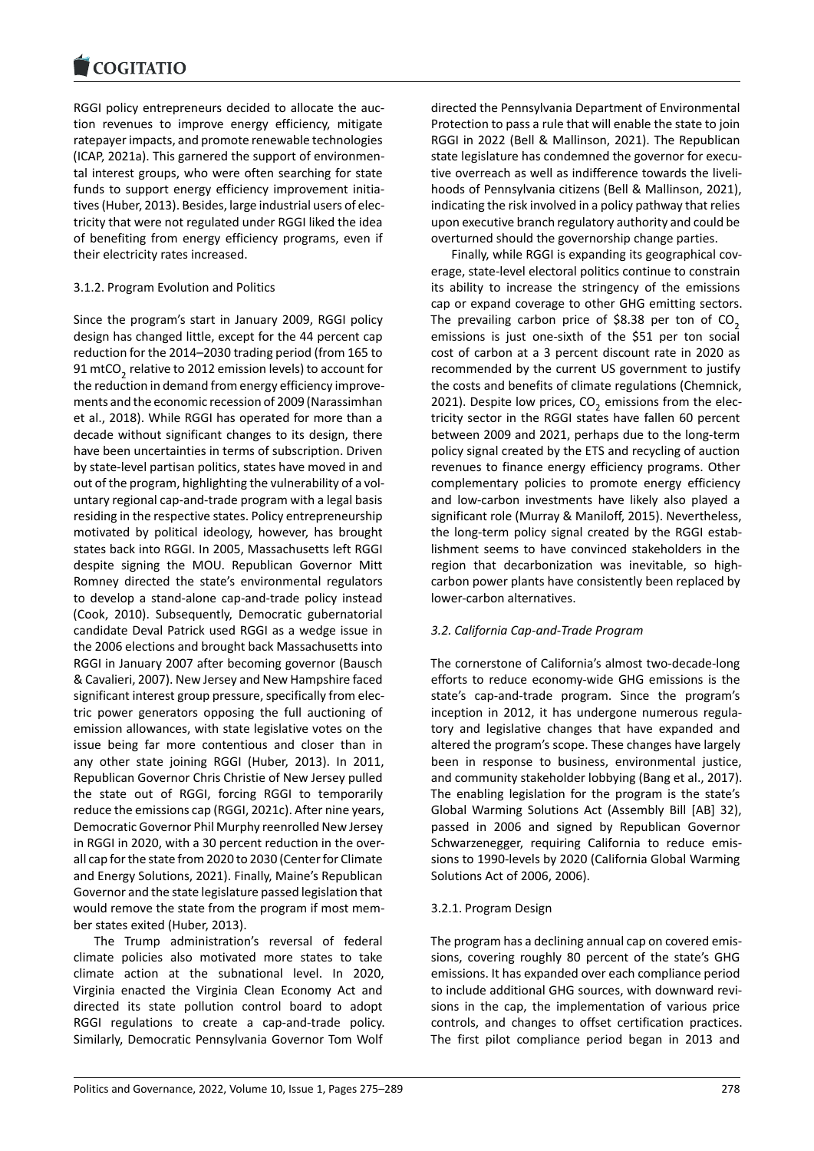RGGI policy entrepreneurs decided to allocate the auc[tion revenues to im](https://www.cogitatiopress.com)prove energy efficiency, mitigate ratepayer impacts, and promote renewable technologies (ICAP, 2021a). This garnered the support of environmen‐ tal interest groups, who were often searching for state funds to support energy efficiency improvement initiatives (Huber, 2013). Besides, large industrial users of elec‐ tricity that were not regulated under RGGI liked the idea of benefiting from energy efficiency programs, even if their electricity rates increased.

### 3.1.2. Program Evolution and Politics

Since the program's start in January 2009, RGGI policy design has changed little, except for the 44 percent cap reduction for the 2014–2030 trading period (from 165 to 91 mtCO $_{\rm 2}$  relative to 2012 emission levels) to account for the reduction in demand from energy efficiency improve‐ ments and the economic recession of 2009 (Narassimhan et al., 2018). While RGGI has operated for more than a decade without significant changes to its design, there have been uncertainties in terms of subscription. Driven by state‐level partisan politics, states have moved in and out of the program, highlighting the vulnerability of a vol‐ untary regional cap‐and‐trade program with a legal basis residing in the respective states. Policy entrepreneurship motivated by political ideology, however, has brought states back into RGGI. In 2005, Massachusetts left RGGI despite signing the MOU. Republican Governor Mitt Romney directed the state's environmental regulators to develop a stand‐alone cap‐and‐trade policy instead (Cook, 2010). Subsequently, Democratic gubernatorial candidate Deval Patrick used RGGI as a wedge issue in the 2006 elections and brought back Massachusetts into RGGI in January 2007 after becoming governor (Bausch & Cavalieri, 2007). New Jersey and New Hampshire faced significant interest group pressure, specifically from elec‐ tric power generators opposing the full auctioning of emission allowances, with state legislative votes on the issue being far more contentious and closer than in any other state joining RGGI (Huber, 2013). In 2011, Republican Governor Chris Christie of New Jersey pulled the state out of RGGI, forcing RGGI to temporarily reduce the emissions cap (RGGI, 2021c). After nine years, Democratic Governor Phil Murphy reenrolled New Jersey in RGGI in 2020, with a 30 percent reduction in the overall cap for the state from 2020 to 2030 (Center for Climate and Energy Solutions, 2021). Finally, Maine's Republican Governor and the state legislature passed legislation that would remove the state from the program if most mem‐ ber states exited (Huber, 2013).

The Trump administration's reversal of federal climate policies also motivated more states to take climate action at the subnational level. In 2020, Virginia enacted the Virginia Clean Economy Act and directed its state pollution control board to adopt RGGI regulations to create a cap-and-trade policy. Similarly, Democratic Pennsylvania Governor Tom Wolf directed the Pennsylvania Department of Environmental Protection to pass a rule that will enable the state to join RGGI in 2022 (Bell & Mallinson, 2021). The Republican state legislature has condemned the governor for executive overreach as well as indifference towards the liveli‐ hoods of Pennsylvania citizens (Bell & Mallinson, 2021), indicating the risk involved in a policy pathway that relies upon executive branch regulatory authority and could be overturned should the governorship change parties.

Finally, while RGGI is expanding its geographical cov‐ erage, state‐level electoral politics continue to constrain its ability to increase the stringency of the emissions cap or expand coverage to other GHG emitting sectors. The prevailing carbon price of  $$8.38$  per ton of CO<sub>2</sub> emissions is just one‐sixth of the \$51 per ton social cost of carbon at a 3 percent discount rate in 2020 as recommended by the current US government to justify the costs and benefits of climate regulations (Chemnick, 2021). Despite low prices, CO<sub>2</sub> emissions from the electricity sector in the RGGI states have fallen 60 percent between 2009 and 2021, perhaps due to the long‐term policy signal created by the ETS and recycling of auction revenues to finance energy efficiency programs. Other complementary policies to promote energy efficiency and low‐carbon investments have likely also played a significant role (Murray & Maniloff, 2015). Nevertheless, the long-term policy signal created by the RGGI establishment seems to have convinced stakeholders in the region that decarbonization was inevitable, so high‐ carbon power plants have consistently been replaced by lower‐carbon alternatives.

### *3.2. California Cap‐and‐Trade Program*

The cornerstone of California's almost two‐decade‐long efforts to reduce economy‐wide GHG emissions is the state's cap-and-trade program. Since the program's inception in 2012, it has undergone numerous regula‐ tory and legislative changes that have expanded and altered the program's scope. These changes have largely been in response to business, environmental justice, and community stakeholder lobbying (Bang et al., 2017). The enabling legislation for the program is the state's Global Warming Solutions Act (Assembly Bill [AB] 32), passed in 2006 and signed by Republican Governor Schwarzenegger, requiring California to reduce emis‐ sions to 1990‐levels by 2020 (California Global Warming Solutions Act of 2006, 2006).

### 3.2.1. Program Design

The program has a declining annual cap on covered emis‐ sions, covering roughly 80 percent of the state's GHG emissions. It has expanded over each compliance period to include additional GHG sources, with downward revi‐ sions in the cap, the implementation of various price controls, and changes to offset certification practices. The first pilot compliance period began in 2013 and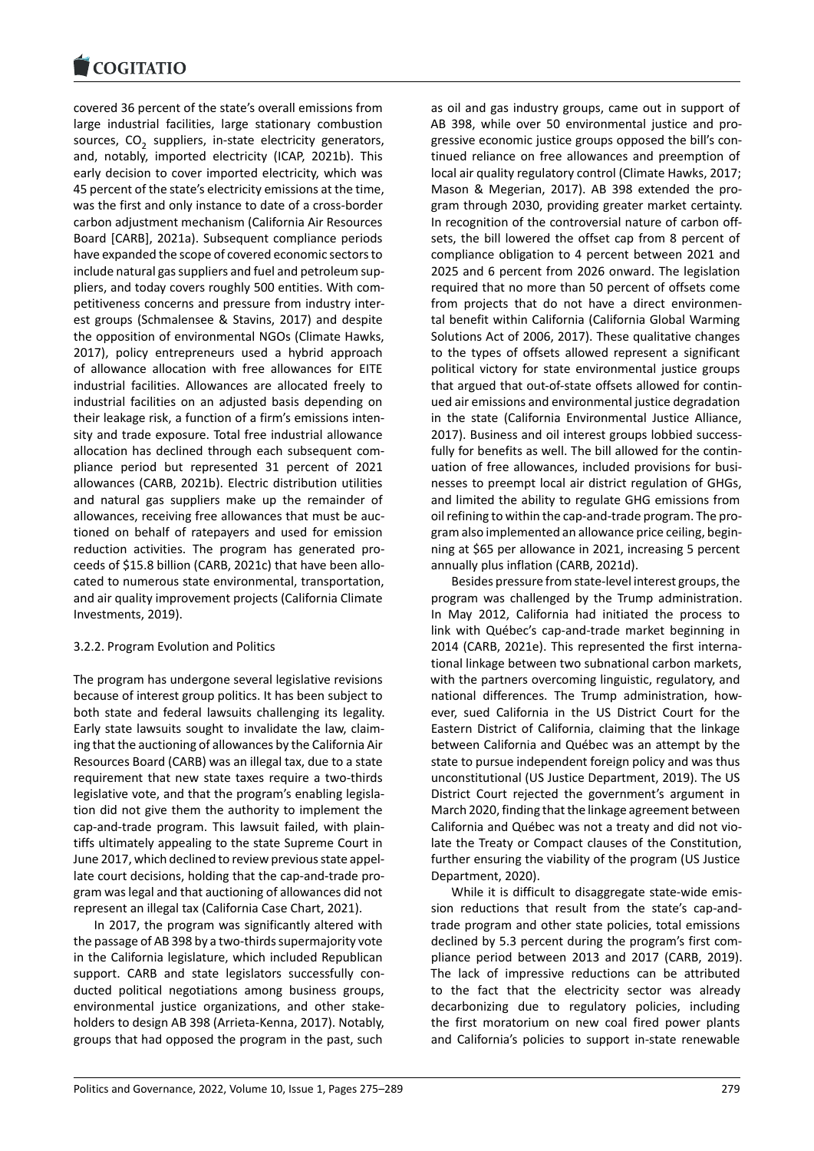covered 36 percent of the state's overall emissions from [large industrial facil](https://www.cogitatiopress.com)ities, large stationary combustion sources,  $CO_2$  suppliers, in-state electricity generators, and, notably, imported electricity (ICAP, 2021b). This early decision to cover imported electricity, which was 45 percent of the state's electricity emissions at the time, was the first and only instance to date of a cross‐border carbon adjustment mechanism (California Air Resources Board [CARB], 2021a). Subsequent compliance periods have expanded the scope of covered economic sectors to include natural gas suppliers and fuel and petroleum sup‐ pliers, and today covers roughly 500 entities. With com‐ petitiveness concerns and pressure from industry inter‐ est groups (Schmalensee & Stavins, 2017) and despite the opposition of environmental NGOs (Climate Hawks, 2017), policy entrepreneurs used a hybrid approach of allowance allocation with free allowances for EITE industrial facilities. Allowances are allocated freely to industrial facilities on an adjusted basis depending on their leakage risk, a function of a firm's emissions inten‐ sity and trade exposure. Total free industrial allowance allocation has declined through each subsequent com‐ pliance period but represented 31 percent of 2021 allowances (CARB, 2021b). Electric distribution utilities and natural gas suppliers make up the remainder of allowances, receiving free allowances that must be auc‐ tioned on behalf of ratepayers and used for emission reduction activities. The program has generated pro‐ ceeds of \$15.8 billion (CARB, 2021c) that have been allo‐ cated to numerous state environmental, transportation, and air quality improvement projects (California Climate Investments, 2019).

### 3.2.2. Program Evolution and Politics

The program has undergone several legislative revisions because of interest group politics. It has been subject to both state and federal lawsuits challenging its legality. Early state lawsuits sought to invalidate the law, claim‐ ing that the auctioning of allowances by the California Air Resources Board (CARB) was an illegal tax, due to a state requirement that new state taxes require a two-thirds legislative vote, and that the program's enabling legisla‐ tion did not give them the authority to implement the cap‐and‐trade program. This lawsuit failed, with plain‐ tiffs ultimately appealing to the state Supreme Court in June 2017, which declined to review previous state appel‐ late court decisions, holding that the cap-and-trade program was legal and that auctioning of allowances did not represent an illegal tax (California Case Chart, 2021).

In 2017, the program was significantly altered with the passage of AB 398 by a two-thirds supermajority vote in the California legislature, which included Republican support. CARB and state legislators successfully conducted political negotiations among business groups, environmental justice organizations, and other stake‐ holders to design AB 398 (Arrieta‐Kenna, 2017). Notably, groups that had opposed the program in the past, such

as oil and gas industry groups, came out in support of AB 398, while over 50 environmental justice and pro‐ gressive economic justice groups opposed the bill's con‐ tinued reliance on free allowances and preemption of local air quality regulatory control (Climate Hawks, 2017; Mason & Megerian, 2017). AB 398 extended the pro‐ gram through 2030, providing greater market certainty. In recognition of the controversial nature of carbon off‐ sets, the bill lowered the offset cap from 8 percent of compliance obligation to 4 percent between 2021 and 2025 and 6 percent from 2026 onward. The legislation required that no more than 50 percent of offsets come from projects that do not have a direct environmental benefit within California (California Global Warming Solutions Act of 2006, 2017). These qualitative changes to the types of offsets allowed represent a significant political victory for state environmental justice groups that argued that out‐of‐state offsets allowed for contin‐ ued air emissions and environmental justice degradation in the state (California Environmental Justice Alliance, 2017). Business and oil interest groups lobbied success‐ fully for benefits as well. The bill allowed for the contin‐ uation of free allowances, included provisions for busi‐ nesses to preempt local air district regulation of GHGs, and limited the ability to regulate GHG emissions from oil refining to within the cap‐and‐trade program. The pro‐ gram also implemented an allowance price ceiling, begin‐ ning at \$65 per allowance in 2021, increasing 5 percent annually plus inflation (CARB, 2021d).

Besides pressure from state‐level interest groups, the program was challenged by the Trump administration. In May 2012, California had initiated the process to link with Québec's cap‐and‐trade market beginning in 2014 (CARB, 2021e). This represented the first interna‐ tional linkage between two subnational carbon markets, with the partners overcoming linguistic, regulatory, and national differences. The Trump administration, how‐ ever, sued California in the US District Court for the Eastern District of California, claiming that the linkage between California and Québec was an attempt by the state to pursue independent foreign policy and was thus unconstitutional (US Justice Department, 2019). The US District Court rejected the government's argument in March 2020, finding that the linkage agreement between California and Québec was not a treaty and did not vio‐ late the Treaty or Compact clauses of the Constitution, further ensuring the viability of the program (US Justice Department, 2020).

While it is difficult to disaggregate state-wide emission reductions that result from the state's cap-andtrade program and other state policies, total emissions declined by 5.3 percent during the program's first com‐ pliance period between 2013 and 2017 (CARB, 2019). The lack of impressive reductions can be attributed to the fact that the electricity sector was already decarbonizing due to regulatory policies, including the first moratorium on new coal fired power plants and California's policies to support in‐state renewable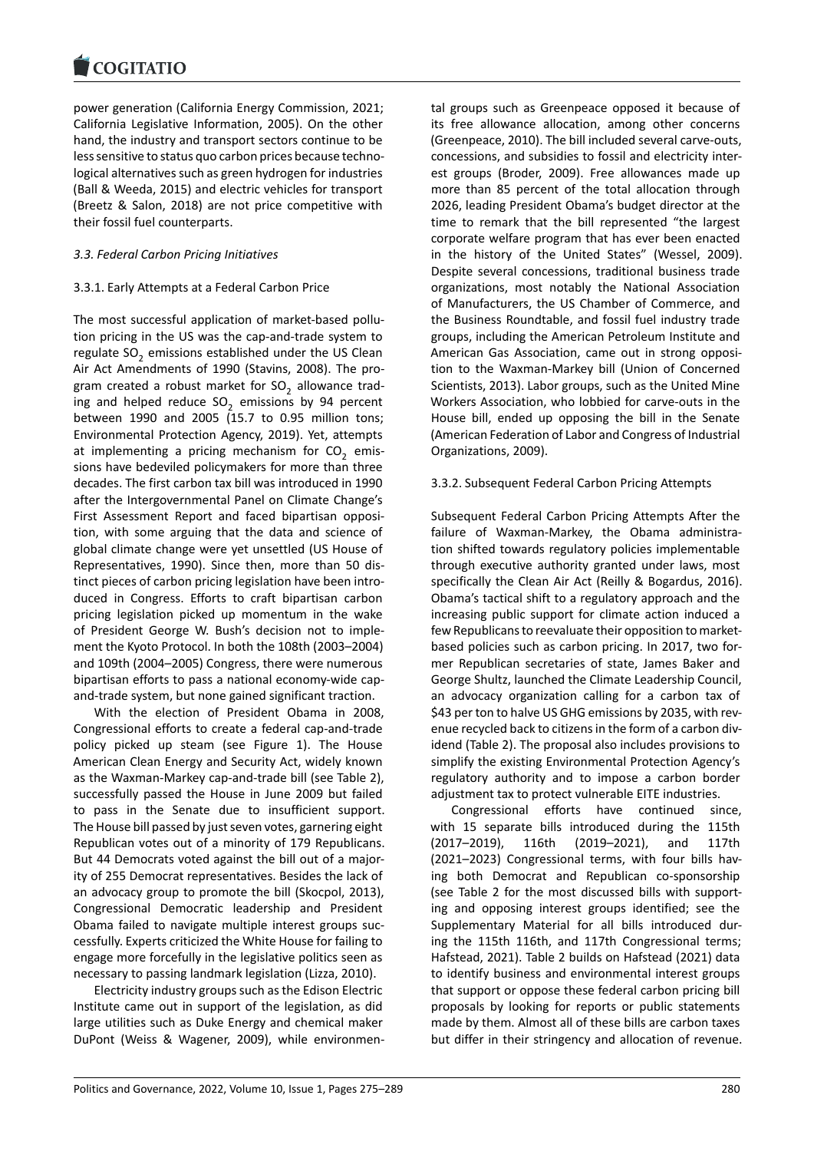power generation (California Energy Commission, 2021; [California Legislative](https://www.cogitatiopress.com) Information, 2005). On the other hand, the industry and transport sectors continue to be less sensitive to status quo carbon prices because techno‐ logical alternatives such as green hydrogen for industries (Ball & Weeda, 2015) and electric vehicles for transport (Breetz & Salon, 2018) are not price competitive with their fossil fuel counterparts.

### *3.3. Federal Carbon Pricing Initiatives*

### 3.3.1. Early Attempts at a Federal Carbon Price

The most successful application of market‐based pollu‐ tion pricing in the US was the cap‐and‐trade system to regulate SO<sub>2</sub> emissions established under the US Clean Air Act Amendments of 1990 (Stavins, 2008). The pro‐ gram created a robust market for SO<sub>2</sub> allowance trading and helped reduce  ${SO}_2$  emissions by 94 percent between 1990 and 2005 (15.7 to 0.95 million tons; Environmental Protection Agency, 2019). Yet, attempts at implementing a pricing mechanism for  $CO_2$  emissions have bedeviled policymakers for more than three decades. The first carbon tax bill was introduced in 1990 after the Intergovernmental Panel on Climate Change's First Assessment Report and faced bipartisan opposi‐ tion, with some arguing that the data and science of global climate change were yet unsettled (US House of Representatives, 1990). Since then, more than 50 dis‐ tinct pieces of carbon pricing legislation have been intro‐ duced in Congress. Efforts to craft bipartisan carbon pricing legislation picked up momentum in the wake of President George W. Bush's decision not to imple‐ ment the Kyoto Protocol. In both the 108th (2003–2004) and 109th (2004–2005) Congress, there were numerous bipartisan efforts to pass a national economy‐wide cap‐ and-trade system, but none gained significant traction.

With the election of President Obama in 2008, Congressional efforts to create a federal cap‐and‐trade policy picked up steam (see Figure 1). The House American Clean Energy and Security Act, widely known as the Waxman‐Markey cap‐and‐trade bill (see Table 2), successfully passed the House in June 2009 but failed to pass in the Senate due to insufficient support. The House bill passed by just seven votes, garnering eight Republican votes out of a minority of 179 Republicans. But 44 Democrats voted against the bill out of a major‐ ity of 255 Democrat representatives. Besides the lack of an advocacy group to promote the bill (Skocpol, 2013), Congressional Democratic leadership and President Obama failed to navigate multiple interest groups suc‐ cessfully. Experts criticized the White House for failing to engage more forcefully in the legislative politics seen as necessary to passing landmark legislation (Lizza, 2010).

Electricity industry groups such as the Edison Electric Institute came out in support of the legislation, as did large utilities such as Duke Energy and chemical maker DuPont (Weiss & Wagener, 2009), while environmen‐ tal groups such as Greenpeace opposed it because of its free allowance allocation, among other concerns (Greenpeace, 2010). The bill included several carve‐outs, concessions, and subsidies to fossil and electricity inter‐ est groups (Broder, 2009). Free allowances made up more than 85 percent of the total allocation through 2026, leading President Obama's budget director at the time to remark that the bill represented "the largest corporate welfare program that has ever been enacted in the history of the United States" (Wessel, 2009). Despite several concessions, traditional business trade organizations, most notably the National Association of Manufacturers, the US Chamber of Commerce, and the Business Roundtable, and fossil fuel industry trade groups, including the American Petroleum Institute and American Gas Association, came out in strong opposi‐ tion to the Waxman‐Markey bill (Union of Concerned Scientists, 2013). Labor groups, such as the United Mine Workers Association, who lobbied for carve‐outs in the House bill, ended up opposing the bill in the Senate (American Federation of Labor and Congress of Industrial Organizations, 2009).

### 3.3.2. Subsequent Federal Carbon Pricing Attempts

Subsequent Federal Carbon Pricing Attempts After the failure of Waxman-Markey, the Obama administration shifted towards regulatory policies implementable through executive authority granted under laws, most specifically the Clean Air Act (Reilly & Bogardus, 2016). Obama's tactical shift to a regulatory approach and the increasing public support for climate action induced a few Republicans to reevaluate their opposition to marketbased policies such as carbon pricing. In 2017, two for‐ mer Republican secretaries of state, James Baker and George Shultz, launched the Climate Leadership Council, an advocacy organization calling for a carbon tax of \$43 per ton to halve US GHG emissions by 2035, with revenue recycled back to citizens in the form of a carbon div‐ idend (Table 2). The proposal also includes provisions to simplify the existing Environmental Protection Agency's regulatory authority and to impose a carbon border adjustment tax to protect vulnerable EITE industries.

Congressional efforts have continued since, with 15 separate bills introduced during the 115th (2017–2019), 116th (2019–2021), and 117th (2021–2023) Congressional terms, with four bills having both Democrat and Republican co‐sponsorship (see Table 2 for the most discussed bills with support‐ ing and opposing interest groups identified; see the Supplementary Material for all bills introduced dur‐ ing the 115th 116th, and 117th Congressional terms; Hafstead, 2021). Table 2 builds on Hafstead (2021) data to identify business and environmental interest groups that support or oppose these federal carbon pricing bill proposals by looking for reports or public statements made by them. Almost all of these bills are carbon taxes but differ in their stringency and allocation of revenue.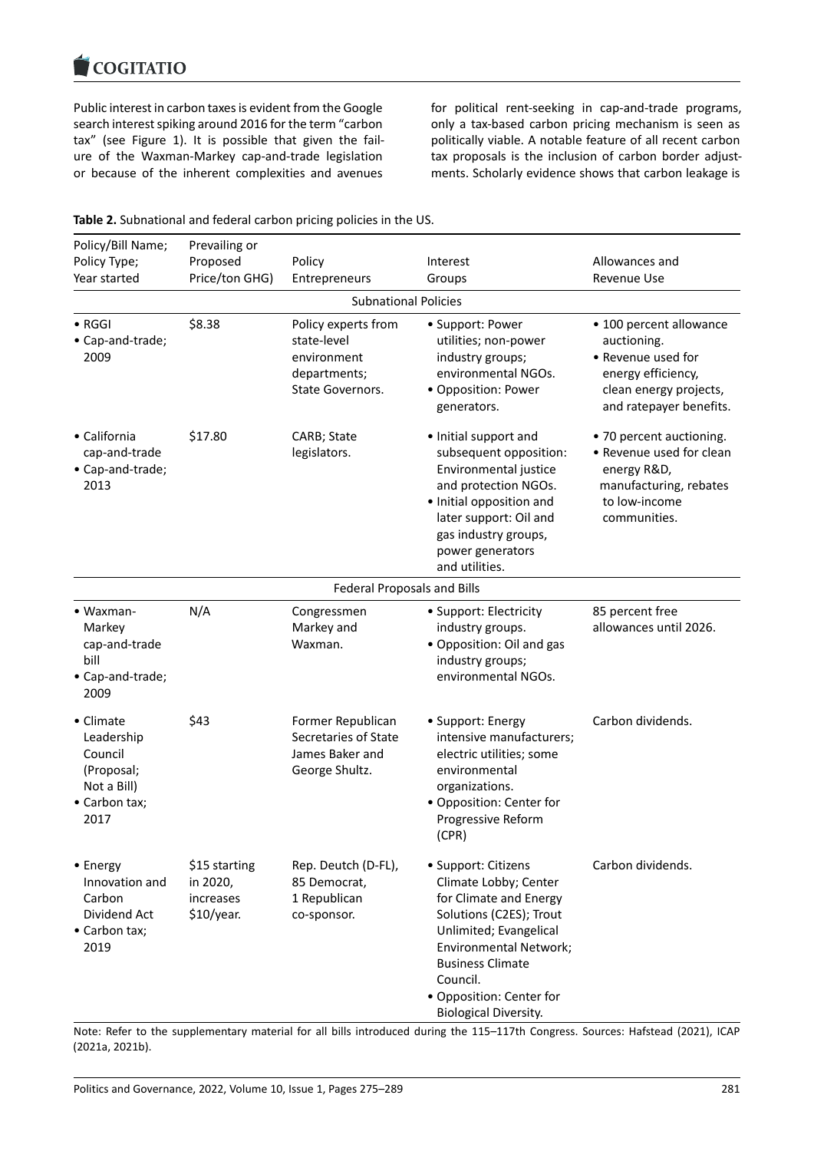#### $\blacksquare$  Coultario

Public interest in carbon taxes is evident from the Google [search interest spikin](https://www.cogitatiopress.com)g around 2016 for the term "carbon tax" (see Figure 1). It is possible that given the fail‐ ure of the Waxman‐Markey cap‐and‐trade legislation or because of the inherent complexities and avenues for political rent-seeking in cap-and-trade programs, only a tax‐based carbon pricing mechanism is seen as politically viable. A notable feature of all recent carbon tax proposals is the inclusion of carbon border adjustments. Scholarly evidence shows that carbon leakage is

**Table 2.** Subnational and federal carbon pricing policies in the US.

| Policy/Bill Name;<br>Policy Type;                                                        | Prevailing or<br>Proposed                            | Policy                                                                                | Interest                                                                                                                                                                                                                                          | Allowances and                                                                                                                          |  |  |
|------------------------------------------------------------------------------------------|------------------------------------------------------|---------------------------------------------------------------------------------------|---------------------------------------------------------------------------------------------------------------------------------------------------------------------------------------------------------------------------------------------------|-----------------------------------------------------------------------------------------------------------------------------------------|--|--|
| Year started                                                                             | Price/ton GHG)                                       | Entrepreneurs                                                                         | Groups                                                                                                                                                                                                                                            | <b>Revenue Use</b>                                                                                                                      |  |  |
| <b>Subnational Policies</b>                                                              |                                                      |                                                                                       |                                                                                                                                                                                                                                                   |                                                                                                                                         |  |  |
| $\bullet$ RGGI<br>• Cap-and-trade;<br>2009                                               | \$8.38                                               | Policy experts from<br>state-level<br>environment<br>departments;<br>State Governors. | • Support: Power<br>utilities; non-power<br>industry groups;<br>environmental NGOs.<br>• Opposition: Power<br>generators.                                                                                                                         | • 100 percent allowance<br>auctioning.<br>• Revenue used for<br>energy efficiency,<br>clean energy projects,<br>and ratepayer benefits. |  |  |
| • California<br>cap-and-trade<br>• Cap-and-trade;<br>2013                                | \$17.80                                              | CARB; State<br>legislators.                                                           | • Initial support and<br>subsequent opposition:<br>Environmental justice<br>and protection NGOs.<br>• Initial opposition and<br>later support: Oil and<br>gas industry groups,<br>power generators<br>and utilities.                              | • 70 percent auctioning.<br>• Revenue used for clean<br>energy R&D,<br>manufacturing, rebates<br>to low-income<br>communities.          |  |  |
|                                                                                          |                                                      | Federal Proposals and Bills                                                           |                                                                                                                                                                                                                                                   |                                                                                                                                         |  |  |
| • Waxman-<br>Markey<br>cap-and-trade<br>bill<br>• Cap-and-trade;<br>2009                 | N/A                                                  | Congressmen<br>Markey and<br>Waxman.                                                  | · Support: Electricity<br>industry groups.<br>• Opposition: Oil and gas<br>industry groups;<br>environmental NGOs.                                                                                                                                | 85 percent free<br>allowances until 2026.                                                                                               |  |  |
| • Climate<br>Leadership<br>Council<br>(Proposal;<br>Not a Bill)<br>• Carbon tax;<br>2017 | \$43                                                 | Former Republican<br>Secretaries of State<br>James Baker and<br>George Shultz.        | • Support: Energy<br>intensive manufacturers;<br>electric utilities; some<br>environmental<br>organizations.<br>• Opposition: Center for<br>Progressive Reform<br>(CPR)                                                                           | Carbon dividends.                                                                                                                       |  |  |
| • Energy<br>Innovation and<br>Carbon<br>Dividend Act<br>• Carbon tax;<br>2019            | \$15 starting<br>in 2020,<br>increases<br>\$10/year. | Rep. Deutch (D-FL),<br>85 Democrat,<br>1 Republican<br>co-sponsor.                    | • Support: Citizens<br>Climate Lobby; Center<br>for Climate and Energy<br>Solutions (C2ES); Trout<br>Unlimited; Evangelical<br>Environmental Network;<br><b>Business Climate</b><br>Council.<br>• Opposition: Center for<br>Biological Diversity. | Carbon dividends.                                                                                                                       |  |  |

Note: Refer to the supplementary material for all bills introduced during the 115–117th Congress. Sources: Hafstead (2021), ICAP (2021a, 2021b).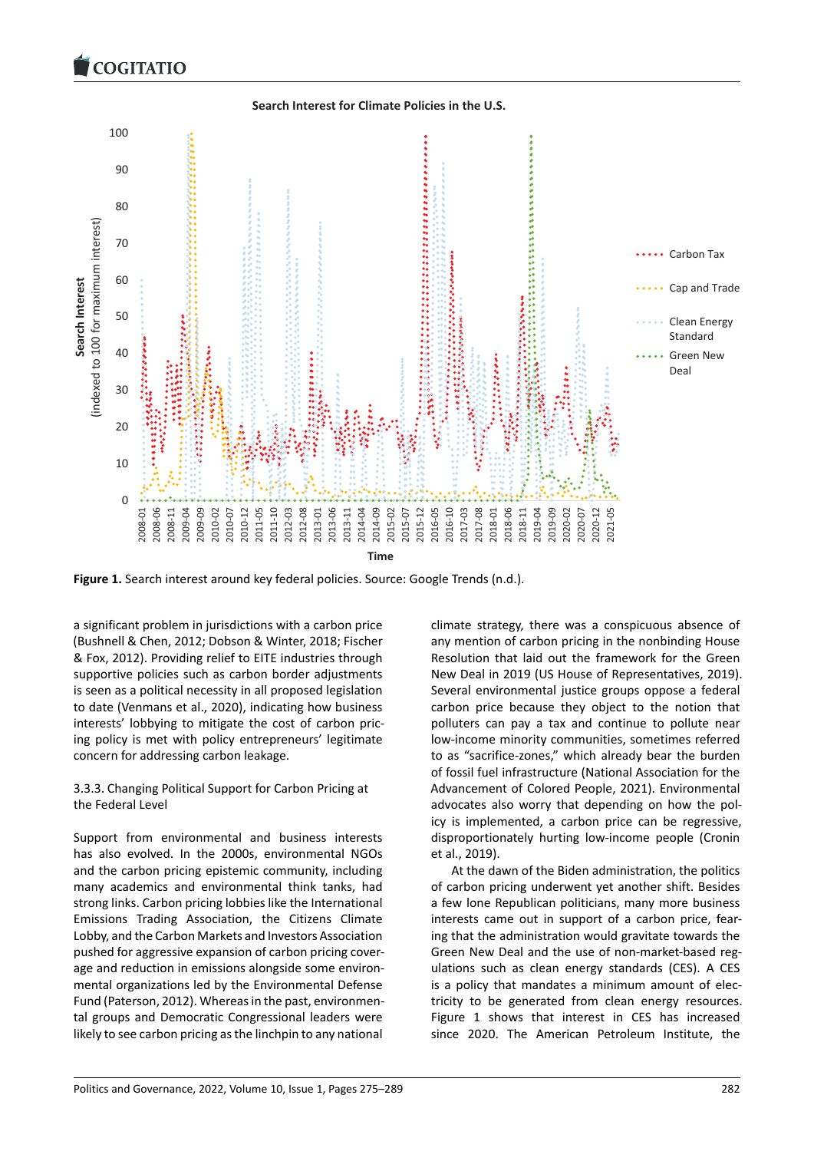

Figure 1. Search interest around key federal policies. Source: Google Trends (n.d.).

a significant problem in jurisdictions with a carbon price (Bushnell & Chen, 2012; Dobson & Winter, 2018; Fischer & Fox, 2012). Providing relief to EITE industries through supportive policies such as carbon border adjustments is seen as a political necessity in all proposed legislation to date (Venmans et al., 2020), indicating how business interests' lobbying to mitigate the cost of carbon pric‐ ing policy is met with policy entrepreneurs' legitimate concern for addressing carbon leakage.

### 3.3.3. Changing Political Support for Carbon Pricing at the Federal Level

Support from environmental and business interests has also evolved. In the 2000s, environmental NGOs and the carbon pricing epistemic community, including many academics and environmental think tanks, had strong links. Carbon pricing lobbies like the International Emissions Trading Association, the Citizens Climate Lobby, and the Carbon Markets and Investors Association pushed for aggressive expansion of carbon pricing cover‐ age and reduction in emissions alongside some environ‐ mental organizations led by the Environmental Defense Fund (Paterson, 2012). Whereas in the past, environmen‐ tal groups and Democratic Congressional leaders were likely to see carbon pricing as the linchpin to any national climate strategy, there was a conspicuous absence of any mention of carbon pricing in the nonbinding House Resolution that laid out the framework for the Green New Deal in 2019 (US House of Representatives, 2019). Several environmental justice groups oppose a federal carbon price because they object to the notion that polluters can pay a tax and continue to pollute near low‐income minority communities, sometimes referred to as "sacrifice‐zones," which already bear the burden of fossil fuel infrastructure (National Association for the Advancement of Colored People, 2021). Environmental advocates also worry that depending on how the pol‐ icy is implemented, a carbon price can be regressive, disproportionately hurting low‐income people (Cronin et al., 2019).

At the dawn of the Biden administration, the politics of carbon pricing underwent yet another shift. Besides a few lone Republican politicians, many more business interests came out in support of a carbon price, fear‐ ing that the administration would gravitate towards the Green New Deal and the use of non‐market‐based reg‐ ulations such as clean energy standards (CES). A CES is a policy that mandates a minimum amount of elec‐ tricity to be generated from clean energy resources. Figure 1 shows that interest in CES has increased since 2020. The American Petroleum Institute, the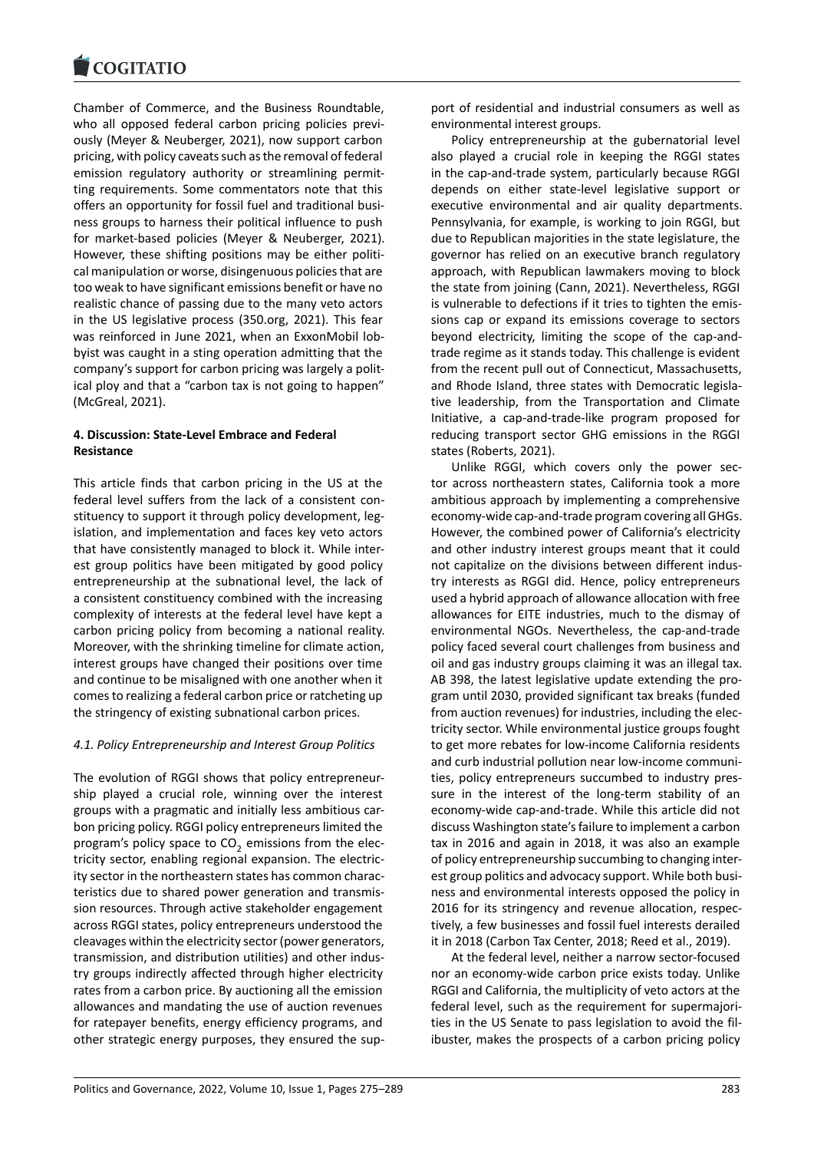Chamber of Commerce, and the Business Roundtable, [who all opposed fed](https://www.cogitatiopress.com)eral carbon pricing policies previously (Meyer & Neuberger, 2021), now support carbon pricing, with policy caveats such as the removal of federal emission regulatory authority or streamlining permitting requirements. Some commentators note that this offers an opportunity for fossil fuel and traditional busi‐ ness groups to harness their political influence to push for market-based policies (Meyer & Neuberger, 2021). However, these shifting positions may be either politi‐ cal manipulation or worse, disingenuous policies that are too weak to have significant emissions benefit or have no realistic chance of passing due to the many veto actors in the US legislative process (350.org, 2021). This fear was reinforced in June 2021, when an ExxonMobil lob‐ byist was caught in a sting operation admitting that the company's support for carbon pricing was largely a polit‐ ical ploy and that a "carbon tax is not going to happen" (McGreal, 2021).

### **4. Discussion: State‐Level Embrace and Federal Resistance**

This article finds that carbon pricing in the US at the federal level suffers from the lack of a consistent con‐ stituency to support it through policy development, legislation, and implementation and faces key veto actors that have consistently managed to block it. While inter‐ est group politics have been mitigated by good policy entrepreneurship at the subnational level, the lack of a consistent constituency combined with the increasing complexity of interests at the federal level have kept a carbon pricing policy from becoming a national reality. Moreover, with the shrinking timeline for climate action, interest groups have changed their positions over time and continue to be misaligned with one another when it comes to realizing a federal carbon price or ratcheting up the stringency of existing subnational carbon prices.

### *4.1. Policy Entrepreneurship and Interest Group Politics*

The evolution of RGGI shows that policy entrepreneur‐ ship played a crucial role, winning over the interest groups with a pragmatic and initially less ambitious car‐ bon pricing policy. RGGI policy entrepreneurs limited the program's policy space to  $\textsf{CO}_2^{}$  emissions from the electricity sector, enabling regional expansion. The electric‐ ity sector in the northeastern states has common charac‐ teristics due to shared power generation and transmis‐ sion resources. Through active stakeholder engagement across RGGI states, policy entrepreneurs understood the cleavages within the electricity sector (power generators, transmission, and distribution utilities) and other indus‐ try groups indirectly affected through higher electricity rates from a carbon price. By auctioning all the emission allowances and mandating the use of auction revenues for ratepayer benefits, energy efficiency programs, and other strategic energy purposes, they ensured the sup‐

port of residential and industrial consumers as well as environmental interest groups.

Policy entrepreneurship at the gubernatorial level also played a crucial role in keeping the RGGI states in the cap-and-trade system, particularly because RGGI depends on either state‐level legislative support or executive environmental and air quality departments. Pennsylvania, for example, is working to join RGGI, but due to Republican majorities in the state legislature, the governor has relied on an executive branch regulatory approach, with Republican lawmakers moving to block the state from joining (Cann, 2021). Nevertheless, RGGI is vulnerable to defections if it tries to tighten the emis‐ sions cap or expand its emissions coverage to sectors beyond electricity, limiting the scope of the cap-andtrade regime as it stands today. This challenge is evident from the recent pull out of Connecticut, Massachusetts, and Rhode Island, three states with Democratic legisla‐ tive leadership, from the Transportation and Climate Initiative, a cap‐and‐trade‐like program proposed for reducing transport sector GHG emissions in the RGGI states (Roberts, 2021).

Unlike RGGI, which covers only the power sec‐ tor across northeastern states, California took a more ambitious approach by implementing a comprehensive economy‐wide cap‐and‐trade program covering all GHGs. However, the combined power of California's electricity and other industry interest groups meant that it could not capitalize on the divisions between different indus‐ try interests as RGGI did. Hence, policy entrepreneurs used a hybrid approach of allowance allocation with free allowances for EITE industries, much to the dismay of environmental NGOs. Nevertheless, the cap-and-trade policy faced several court challenges from business and oil and gas industry groups claiming it was an illegal tax. AB 398, the latest legislative update extending the pro‐ gram until 2030, provided significant tax breaks (funded from auction revenues) for industries, including the elec‐ tricity sector. While environmental justice groups fought to get more rebates for low‐income California residents and curb industrial pollution near low-income communities, policy entrepreneurs succumbed to industry pres‐ sure in the interest of the long-term stability of an economy‐wide cap‐and‐trade. While this article did not discuss Washington state's failure to implement a carbon tax in 2016 and again in 2018, it was also an example of policy entrepreneurship succumbing to changing inter‐ est group politics and advocacy support. While both busi‐ ness and environmental interests opposed the policy in 2016 for its stringency and revenue allocation, respec‐ tively, a few businesses and fossil fuel interests derailed it in 2018 (Carbon Tax Center, 2018; Reed et al., 2019).

At the federal level, neither a narrow sector‐focused nor an economy‐wide carbon price exists today. Unlike RGGI and California, the multiplicity of veto actors at the federal level, such as the requirement for supermajorities in the US Senate to pass legislation to avoid the fil‐ ibuster, makes the prospects of a carbon pricing policy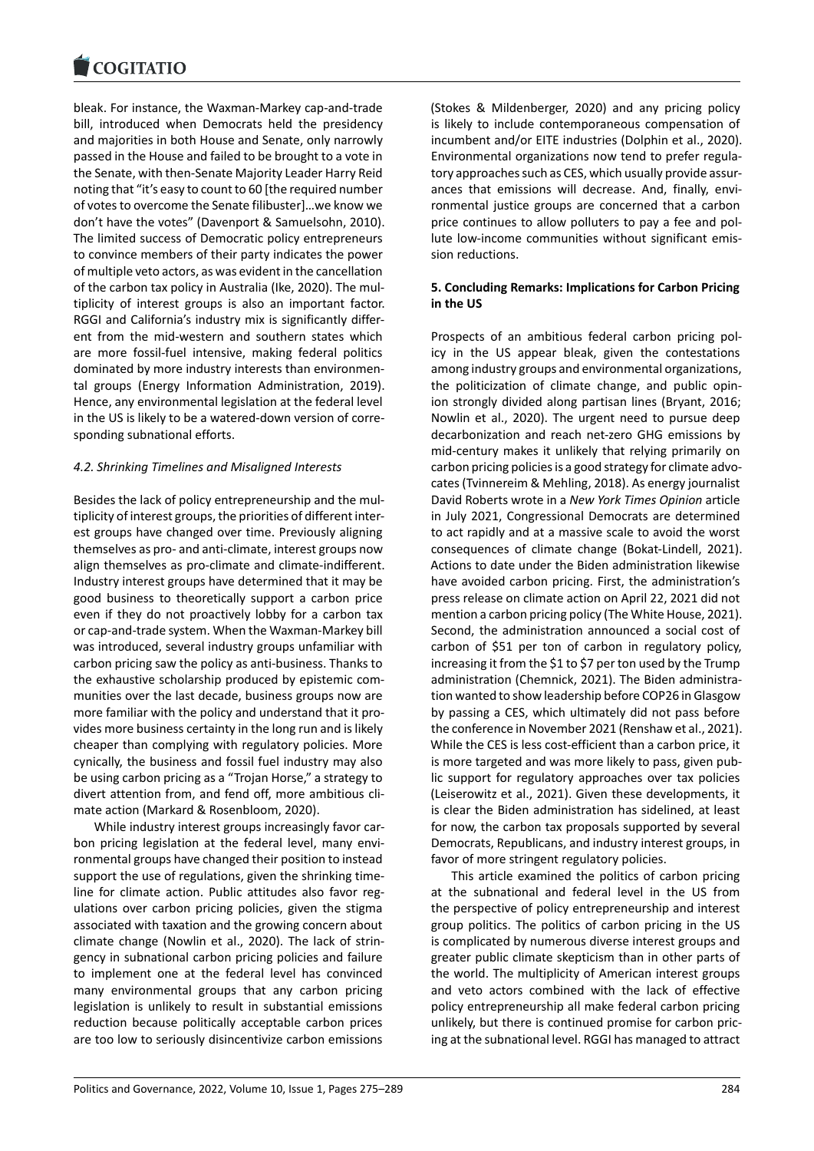bleak. For instance, the Waxman‐Markey cap‐and‐trade [bill, introduced whe](https://www.cogitatiopress.com)n Democrats held the presidency and majorities in both House and Senate, only narrowly passed in the House and failed to be brought to a vote in the Senate, with then‐Senate Majority Leader Harry Reid noting that "it's easy to count to 60 [the required number of votes to overcome the Senate filibuster]…we know we don't have the votes" (Davenport & Samuelsohn, 2010). The limited success of Democratic policy entrepreneurs to convince members of their party indicates the power of multiple veto actors, as was evident in the cancellation of the carbon tax policy in Australia (Ike, 2020). The mul‐ tiplicity of interest groups is also an important factor. RGGI and California's industry mix is significantly differ‐ ent from the mid‐western and southern states which are more fossil-fuel intensive, making federal politics dominated by more industry interests than environmen‐ tal groups (Energy Information Administration, 2019). Hence, any environmental legislation at the federal level in the US is likely to be a watered‐down version of corre‐ sponding subnational efforts.

### *4.2. Shrinking Timelines and Misaligned Interests*

Besides the lack of policy entrepreneurship and the mul‐ tiplicity of interest groups, the priorities of different inter‐ est groups have changed over time. Previously aligning themselves as pro‐ and anti‐climate, interest groups now align themselves as pro‐climate and climate‐indifferent. Industry interest groups have determined that it may be good business to theoretically support a carbon price even if they do not proactively lobby for a carbon tax or cap‐and‐trade system. When the Waxman‐Markey bill was introduced, several industry groups unfamiliar with carbon pricing saw the policy as anti‐business. Thanks to the exhaustive scholarship produced by epistemic com‐ munities over the last decade, business groups now are more familiar with the policy and understand that it pro‐ vides more business certainty in the long run and is likely cheaper than complying with regulatory policies. More cynically, the business and fossil fuel industry may also be using carbon pricing as a "Trojan Horse," a strategy to divert attention from, and fend off, more ambitious cli‐ mate action (Markard & Rosenbloom, 2020).

While industry interest groups increasingly favor carbon pricing legislation at the federal level, many envi‐ ronmental groups have changed their position to instead support the use of regulations, given the shrinking time‐ line for climate action. Public attitudes also favor reg‐ ulations over carbon pricing policies, given the stigma associated with taxation and the growing concern about climate change (Nowlin et al., 2020). The lack of strin‐ gency in subnational carbon pricing policies and failure to implement one at the federal level has convinced many environmental groups that any carbon pricing legislation is unlikely to result in substantial emissions reduction because politically acceptable carbon prices are too low to seriously disincentivize carbon emissions

(Stokes & Mildenberger, 2020) and any pricing policy is likely to include contemporaneous compensation of incumbent and/or EITE industries (Dolphin et al., 2020). Environmental organizations now tend to prefer regula‐ tory approaches such as CES, which usually provide assur‐ ances that emissions will decrease. And, finally, envi‐ ronmental justice groups are concerned that a carbon price continues to allow polluters to pay a fee and pol‐ lute low‐income communities without significant emis‐ sion reductions.

### **5. Concluding Remarks: Implications for Carbon Pricing in the US**

Prospects of an ambitious federal carbon pricing pol‐ icy in the US appear bleak, given the contestations among industry groups and environmental organizations, the politicization of climate change, and public opin‐ ion strongly divided along partisan lines (Bryant, 2016; Nowlin et al., 2020). The urgent need to pursue deep decarbonization and reach net‐zero GHG emissions by mid‐century makes it unlikely that relying primarily on carbon pricing policies is a good strategy for climate advo‐ cates (Tvinnereim & Mehling, 2018). As energy journalist David Roberts wrote in a *New York Times Opinion* article in July 2021, Congressional Democrats are determined to act rapidly and at a massive scale to avoid the worst consequences of climate change (Bokat‐Lindell, 2021). Actions to date under the Biden administration likewise have avoided carbon pricing. First, the administration's press release on climate action on April 22, 2021 did not mention a carbon pricing policy (The White House, 2021). Second, the administration announced a social cost of carbon of \$51 per ton of carbon in regulatory policy, increasing it from the \$1 to \$7 per ton used by the Trump administration (Chemnick, 2021). The Biden administration wanted to show leadership before COP26 in Glasgow by passing a CES, which ultimately did not pass before the conference in November 2021 (Renshaw et al., 2021). While the CES is less cost-efficient than a carbon price, it is more targeted and was more likely to pass, given pub‐ lic support for regulatory approaches over tax policies (Leiserowitz et al., 2021). Given these developments, it is clear the Biden administration has sidelined, at least for now, the carbon tax proposals supported by several Democrats, Republicans, and industry interest groups, in favor of more stringent regulatory policies.

This article examined the politics of carbon pricing at the subnational and federal level in the US from the perspective of policy entrepreneurship and interest group politics. The politics of carbon pricing in the US is complicated by numerous diverse interest groups and greater public climate skepticism than in other parts of the world. The multiplicity of American interest groups and veto actors combined with the lack of effective policy entrepreneurship all make federal carbon pricing unlikely, but there is continued promise for carbon pric‐ ing at the subnational level. RGGI has managed to attract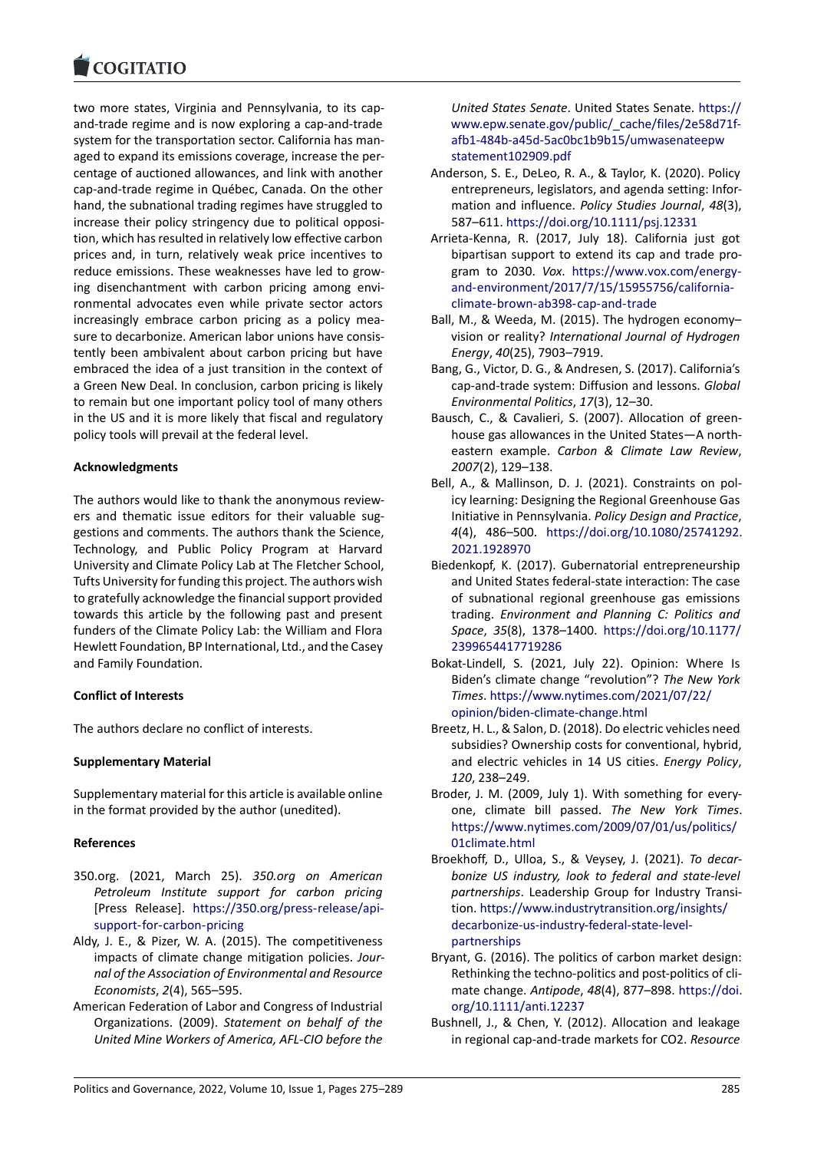#### COQUIATIO

two more states, Virginia and Pennsylvania, to its cap‐ [and‐trade regime an](https://www.cogitatiopress.com)d is now exploring a cap‐and‐trade system for the transportation sector. California has man‐ aged to expand its emissions coverage, increase the per‐ centage of auctioned allowances, and link with another cap‐and‐trade regime in Québec, Canada. On the other hand, the subnational trading regimes have struggled to increase their policy stringency due to political opposi‐ tion, which has resulted in relatively low effective carbon prices and, in turn, relatively weak price incentives to reduce emissions. These weaknesses have led to grow‐ ing disenchantment with carbon pricing among envi‐ ronmental advocates even while private sector actors increasingly embrace carbon pricing as a policy measure to decarbonize. American labor unions have consis‐ tently been ambivalent about carbon pricing but have embraced the idea of a just transition in the context of a Green New Deal. In conclusion, carbon pricing is likely to remain but one important policy tool of many others in the US and it is more likely that fiscal and regulatory policy tools will prevail at the federal level.

### **Acknowledgments**

The authors would like to thank the anonymous review‐ ers and thematic issue editors for their valuable sug‐ gestions and comments. The authors thank the Science, Technology, and Public Policy Program at Harvard University and Climate Policy Lab at The Fletcher School, Tufts University for funding this project. The authors wish to gratefully acknowledge the financial support provided towards this article by the following past and present funders of the Climate Policy Lab: the William and Flora Hewlett Foundation, BP International, Ltd., and the Casey and Family Foundation.

### **Conflict of Interests**

The authors declare no conflict of interests.

### **Supplementary Material**

Supplementary material for this article is available online in the format provided by the author (unedited).

### **References**

- 350.org. (2021, March 25). *350.org on American Petroleum Institute support for carbon pricing* [Press Release]. https://350.org/press‐release/api‐ support‐for‐carbon‐pricing
- Aldy, J. E., & Pizer, W. A. (2015). The competitiveness impacts of climate change mitigation policies. *Jour‐ nal of the Associa[tion of Environmental and Resource](https://350.org/press-release/api-support-for-carbon-pricing) Economists*, *2*[\(4\), 565–595.](https://350.org/press-release/api-support-for-carbon-pricing)
- American Federation of Labor and Congress of Industrial Organizations. (2009). *Statement on behalf of the United Mine Workers of America, AFL‐CIO before the*

*United States Senate*. United States Senate. https:// www.epw.senate.gov/public/\_cache/files/2e58d71fafb1‐484b‐a45d‐5ac0bc1b9b15/umwasenateepw statement102909.pdf

- Anderson, S. E., DeLeo, R. A., & Taylor, K. (2020[\). Policy](https://www.epw.senate.gov/public/_cache/files/2e58d71f-afb1-484b-a45d-5ac0bc1b9b15/umwasenateepwstatement102909.pdf) [entrepreneurs, legislators, and agenda setting: Infor‐](https://www.epw.senate.gov/public/_cache/files/2e58d71f-afb1-484b-a45d-5ac0bc1b9b15/umwasenateepwstatement102909.pdf) [mation and influence.](https://www.epw.senate.gov/public/_cache/files/2e58d71f-afb1-484b-a45d-5ac0bc1b9b15/umwasenateepwstatement102909.pdf) *Policy Studies Journal*, *48*(3), 587–611. [https://doi.o](https://www.epw.senate.gov/public/_cache/files/2e58d71f-afb1-484b-a45d-5ac0bc1b9b15/umwasenateepwstatement102909.pdf)rg/10.1111/psj.12331
- Arrieta‐Kenna, R. (2017, July 18). California just got bipartisan support to extend its cap and trade pro‐ gram to 2030. *Vox*. https://www.vox.com/energy‐ and‐envir[onment/2017/7/15/15955756/cali](https://doi.org/10.1111/psj.12331)fornia‐ climate‐brown‐ab398‐cap‐and‐trade
- Ball, M., & Weeda, M. (2015). The hydrogen economy– vision or reality? *Inte[rnational Journal of Hydrogen](https://www.vox.com/energy-and-environment/2017/7/15/15955756/california-climate-brown-ab398-cap-and-trade) Energy*, *40*[\(25\), 7903–7919.](https://www.vox.com/energy-and-environment/2017/7/15/15955756/california-climate-brown-ab398-cap-and-trade)
- Ba[ng, G., Victor, D. G., & Andresen, S. \(201](https://www.vox.com/energy-and-environment/2017/7/15/15955756/california-climate-brown-ab398-cap-and-trade)7). California's cap‐and‐trade system: Diffusion and lessons. *Global Environmental Politics*, *17*(3), 12–30.
- Bausch, C., & Cavalieri, S. (2007). Allocation of green‐ house gas allowances in the United States—A north‐ eastern example. *Carbon & Climate Law Review*, *2007*(2), 129–138.
- Bell, A., & Mallinson, D. J. (2021). Constraints on pol‐ icy learning: Designing the Regional Greenhouse Gas Initiative in Pennsylvania. *Policy Design and Practice*, *4*(4), 486–500. https://doi.org/10.1080/25741292. 2021.1928970
- Biedenkopf, K. (2017). Gubernatorial entrepreneurship and United States federal‐state interaction: The case of subnational r[egional greenhouse gas emissions](https://doi.org/10.1080/25741292.2021.1928970) [trading.](https://doi.org/10.1080/25741292.2021.1928970) *Environment and Planning C: Politics and Space*, *35*(8), 1378–1400. https://doi.org/10.1177/ 2399654417719286
- Bokat‐Lindell, S. (2021, July 22). Opinion: Where Is Biden's climate change "revolution"? *The New York Times*. https://www.nytime[s.com/2021/07/22/](https://doi.org/10.1177/2399654417719286) [opinion/biden‐clima](https://doi.org/10.1177/2399654417719286)te‐change.html
- Breetz, H. L., & Salon, D. (2018). Do electric vehicles need subsidies? Ownership costs for conventional, hybrid, and el[ectric vehicles in 14 US cities.](https://www.nytimes.com/2021/07/22/opinion/biden-climate-change.html) *Energy Policy*, *120*[, 238–249.](https://www.nytimes.com/2021/07/22/opinion/biden-climate-change.html)
- Broder, J. M. (2009, July 1). With something for every‐ one, climate bill passed. *The New York Times*. https://www.nytimes.com/2009/07/01/us/politics/ 01climate.html
- Broekhoff, D., Ulloa, S., & Veysey, J. (2021). *To decar‐ bonize US industry, look to federal and state‐level partnerships*[. Leadership Group for Industry Transi](https://www.nytimes.com/2009/07/01/us/politics/01climate.html)‐ tion. [https://ww](https://www.nytimes.com/2009/07/01/us/politics/01climate.html)w.industrytransition.org/insights/ decarbonize‐us‐industry‐federal‐state‐level‐ partnerships
- Bryant, G. (2016). The politics of carbon market design: Reth[inking the techno‐politics and post‐politics of c](https://www.industrytransition.org/insights/decarbonize-us-industry-federal-state-level-partnerships)li‐ [mate change.](https://www.industrytransition.org/insights/decarbonize-us-industry-federal-state-level-partnerships) *Antipode*, *48*(4), 877–898. https://doi. [org/10.1111/](https://www.industrytransition.org/insights/decarbonize-us-industry-federal-state-level-partnerships)anti.12237
- Bushnell, J., & Chen, Y. (2012). Allocation and leakage in regional cap‐and‐trade markets for CO2. *Resource*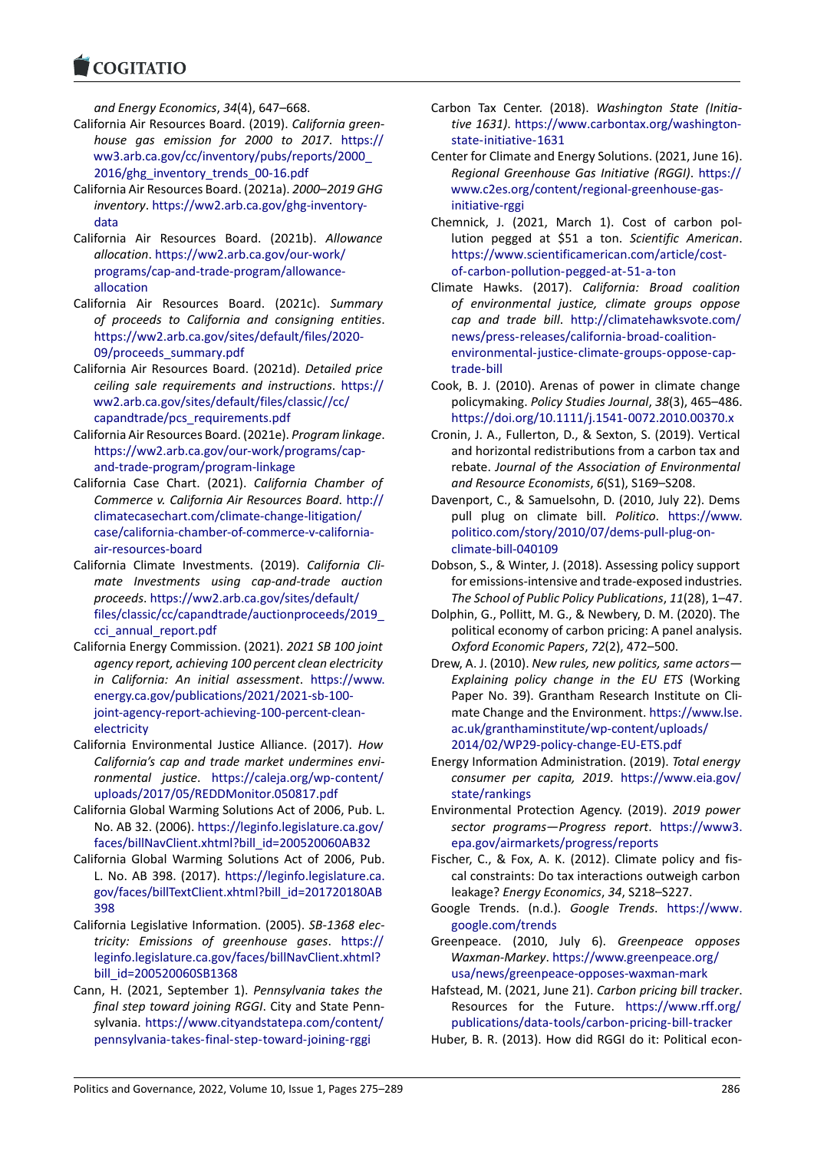*and Energy Economics*, *34*(4), 647–668.

- [California Air Resour](https://www.cogitatiopress.com)ces Board. (2019). *California green‐ house gas emission for 2000 to 2017*. https:// ww3.arb.ca.gov/cc/inventory/pubs/reports/2000\_ 2016/ghg\_inventory\_trends\_00-16.pdf
- California Air Resources Board. (2021a). *2000*–*2019 GHG inventory*. https://ww2.arb.ca.gov/ghg‐inven[tory‐](https://ww3.arb.ca.gov/cc/inventory/pubs/reports/2000_2016/ghg_inventory_trends_00-16.pdf) [data](https://ww3.arb.ca.gov/cc/inventory/pubs/reports/2000_2016/ghg_inventory_trends_00-16.pdf)
- Cali[fornia Air Resources Board. \(2021b](https://ww3.arb.ca.gov/cc/inventory/pubs/reports/2000_2016/ghg_inventory_trends_00-16.pdf)). *Allowance allocation*. https://ww2.arb.ca.gov/our‐work/ programs[/cap‐and‐trade‐program/allowance‐](https://ww2.arb.ca.gov/ghg-inventory-data) [alloc](https://ww2.arb.ca.gov/ghg-inventory-data)ation
- California Air Resources Board. (2021c). *Summary of procee[ds to California and consigning e](https://ww2.arb.ca.gov/our-work/programs/cap-and-trade-program/allowance-allocation)ntities*. [https://ww2.arb.ca.gov/sites/default/files/20](https://ww2.arb.ca.gov/our-work/programs/cap-and-trade-program/allowance-allocation)20‐ [09/procee](https://ww2.arb.ca.gov/our-work/programs/cap-and-trade-program/allowance-allocation)ds\_summary.pdf
- California Air Resources Board. (2021d). *Detailed price ceiling sale requirements and instructions*. https:// [ww2.arb.ca.gov/sites/default/files/classic//cc/](https://ww2.arb.ca.gov/sites/default/files/2020-09/proceeds_summary.pdf) [capandtrade/pcs\\_requirem](https://ww2.arb.ca.gov/sites/default/files/2020-09/proceeds_summary.pdf)ents.pdf
- California Air Resources Board. (2021e). *Program linkage*. https://ww2.arb.ca.gov/our‐work/programs[/cap‐](https://ww2.arb.ca.gov/sites/default/files/classic//cc/capandtrade/pcs_requirements.pdf) [and‐trade‐program/program‐linkage](https://ww2.arb.ca.gov/sites/default/files/classic//cc/capandtrade/pcs_requirements.pdf)
- Cali[fornia Case Chart. \(2021\).](https://ww2.arb.ca.gov/sites/default/files/classic//cc/capandtrade/pcs_requirements.pdf) *California Chamber of Commerce v. California Air Resources Board*. http:// [climatecasechart.com/climate‐change‐litigation/](https://ww2.arb.ca.gov/our-work/programs/cap-and-trade-program/program-linkage) [case/california‐chamber‐of‐commerc](https://ww2.arb.ca.gov/our-work/programs/cap-and-trade-program/program-linkage)e‐v‐california‐ air‐resources‐board
- California Climate Investments. (2019). *Califor[nia Cli‐](http://climatecasechart.com/climate-change-litigation/case/california-chamber-of-commerce-v-california-air-resources-board) [mate Investments using cap‐and‐trade auct](http://climatecasechart.com/climate-change-litigation/case/california-chamber-of-commerce-v-california-air-resources-board)ion proceeds*. [https://ww2.arb.ca.gov/sites/default/](http://climatecasechart.com/climate-change-litigation/case/california-chamber-of-commerce-v-california-air-resources-board) [files/classic/cc/capa](http://climatecasechart.com/climate-change-litigation/case/california-chamber-of-commerce-v-california-air-resources-board)ndtrade/auctionproceeds/2019\_ cci annual report.pdf
- California Energy Commission. (2021). *2021 SB 100 joint agency re[port, achieving 100 percent clean electr](https://ww2.arb.ca.gov/sites/default/files/classic/cc/capandtrade/auctionproceeds/2019_cci_annual_report.pdf)icity [in California: An initial assessment](https://ww2.arb.ca.gov/sites/default/files/classic/cc/capandtrade/auctionproceeds/2019_cci_annual_report.pdf)*. https://www. [energy.ca.gov/publicat](https://ww2.arb.ca.gov/sites/default/files/classic/cc/capandtrade/auctionproceeds/2019_cci_annual_report.pdf)ions/2021/2021‐sb‐100‐ joint‐agency‐report‐achieving‐100‐percent‐clean‐ electricity
- California Environmental Justice Alliance. [\(2017\).](https://www.energy.ca.gov/publications/2021/2021-sb-100-joint-agency-report-achieving-100-percent-clean-electricity) *How [California's cap and trade market undermines](https://www.energy.ca.gov/publications/2021/2021-sb-100-joint-agency-report-achieving-100-percent-clean-electricity) envi‐ ronmental justice*. [https://caleja.org/wp‐conte](https://www.energy.ca.gov/publications/2021/2021-sb-100-joint-agency-report-achieving-100-percent-clean-electricity)nt/ [uploads/2](https://www.energy.ca.gov/publications/2021/2021-sb-100-joint-agency-report-achieving-100-percent-clean-electricity)017/05/REDDMonitor.050817.pdf
- California Global Warming Solutions Act of 2006, Pub. L. No. AB 32. (2006). https://leginfo.legislature.ca.gov/ faces/billNavClient.x[html?bill\\_id=200520060AB32](https://caleja.org/wp-content/uploads/2017/05/REDDMonitor.050817.pdf)
- Cali[fornia Global Warming Solutions Act of 20](https://caleja.org/wp-content/uploads/2017/05/REDDMonitor.050817.pdf)06, Pub. L. No. AB 398. (2017). https://leginfo.legislature.ca. gov/faces/billText[Client.xhtml?bill\\_id=201720180AB](https://leginfo.legislature.ca.gov/faces/billNavClient.xhtml?bill_id=200520060AB32) [398](https://leginfo.legislature.ca.gov/faces/billNavClient.xhtml?bill_id=200520060AB32)
- California Legislative Information. (2005). *SB‐1368 elec‐ tricity: Emissions of [greenhouse gases](https://leginfo.legislature.ca.gov/faces/billTextClient.xhtml?bill_id=201720180AB398)*. https:// [leginfo.legislature.ca.gov/faces/billNavClient.xhtml?](https://leginfo.legislature.ca.gov/faces/billTextClient.xhtml?bill_id=201720180AB398) [bill\\_](https://leginfo.legislature.ca.gov/faces/billTextClient.xhtml?bill_id=201720180AB398)id=200520060SB1368
- Cann, H. (2021, September 1). *Pennsylvania takes the final step toward joining RGGI*. City and Sta[te Penn‐](https://leginfo.legislature.ca.gov/faces/billNavClient.xhtml?bill_id=200520060SB1368) sylvania. [https://www.cityandstatepa.com/content/](https://leginfo.legislature.ca.gov/faces/billNavClient.xhtml?bill_id=200520060SB1368) [pennsylvania‐takes‐final‐s](https://leginfo.legislature.ca.gov/faces/billNavClient.xhtml?bill_id=200520060SB1368)tep‐toward‐joining‐rggi
- Carbon Tax Center. (2018). *Washington State (Initia‐ tive 1631)*. https://www.carbontax.org/washington‐ state‐initiative‐1631
- Center for Climate and Energy Solutions. (2021, June 16). *Regional Greenhouse Gas Initiative (RGGI)*. https:// www.c2es.[org/content/regional‐greenhouse‐gas‐](https://www.carbontax.org/washington-state-initiative-1631) [initiative‐rggi](https://www.carbontax.org/washington-state-initiative-1631)
- Chemnick, J. (2021, March 1). Cost of carbon pol‐ lution pegged at \$51 a ton. *Scientific A[merican](https://www.c2es.org/content/regional-greenhouse-gas-initiative-rggi)*. [https://www.scientificamerican.com/article/cost‐](https://www.c2es.org/content/regional-greenhouse-gas-initiative-rggi) [of‐carbon‐po](https://www.c2es.org/content/regional-greenhouse-gas-initiative-rggi)llution‐pegged‐at‐51‐a‐ton
- Climate Hawks. (2017). *California: Broad coalition of environmental justice, climate groups oppose cap and trade bill*. [http://climatehawksvote.com](https://www.scientificamerican.com/article/cost-of-carbon-pollution-pegged-at-51-a-ton)/ [news/press‐releases/california‐broad‐co](https://www.scientificamerican.com/article/cost-of-carbon-pollution-pegged-at-51-a-ton)alition‐ environmental‐justice‐climate‐groups‐oppose‐cap‐ trade‐bill
- Cook, B. J. (2010). Aren[as of power in climate change](http://climatehawksvote.com/news/press-releases/california-broad-coalition-environmental-justice-climate-groups-oppose-cap-trade-bill) policymaking. *[Policy Studies Journal](http://climatehawksvote.com/news/press-releases/california-broad-coalition-environmental-justice-climate-groups-oppose-cap-trade-bill)*, *38*(3), 465–486. [https://doi.org/10.1111/j.1541‐0072.2010.00370.x](http://climatehawksvote.com/news/press-releases/california-broad-coalition-environmental-justice-climate-groups-oppose-cap-trade-bill)
- Cro[nin, J. A.,](http://climatehawksvote.com/news/press-releases/california-broad-coalition-environmental-justice-climate-groups-oppose-cap-trade-bill) Fullerton, D., & Sexton, S. (2019). Vertical and horizontal redistributions from a carbon tax and rebate. *Journal of the Association of Environmental [and Resource Economists](https://doi.org/10.1111/j.1541-0072.2010.00370.x)*, *6*(S1), S169–S208.
- Davenport, C., & Samuelsohn, D. (2010, July 22). Dems pull plug on climate bill. *Politico*. https://www. politico.com/story/2010/07/dems‐pull‐plug‐on‐ climate‐bill‐040109
- Dobson, S., & Winter, J. (2018). Assessing policy support for emissions‐intensive and trade‐expo[sed industries.](https://www.politico.com/story/2010/07/dems-pull-plug-on-climate-bill-040109) *[The School of Public Policy Publications](https://www.politico.com/story/2010/07/dems-pull-plug-on-climate-bill-040109)*, *11*(28), 1–47.
- Dol[phin, G., Pollitt, M. G](https://www.politico.com/story/2010/07/dems-pull-plug-on-climate-bill-040109)., & Newbery, D. M. (2020). The political economy of carbon pricing: A panel analysis. *Oxford Economic Papers*, *72*(2), 472–500.
- Drew, A. J. (2010). *New rules, new politics, same actors— Explaining policy change in the EU ETS* (Working Paper No. 39). Grantham Research Institute on Cli‐ mate Change and the Environment. https://www.lse. ac.uk/granthaminstitute/wp‐content/uploads/ 2014/02/WP29‐policy‐change‐EU‐ETS.pdf
- Energy Information Administration. (2019). *Total energy consumer per capita, 2019*. http[s://www.eia.gov/](https://www.lse.ac.uk/granthaminstitute/wp-content/uploads/2014/02/WP29-policy-change-EU-ETS.pdf) [state/rankings](https://www.lse.ac.uk/granthaminstitute/wp-content/uploads/2014/02/WP29-policy-change-EU-ETS.pdf)
- Env[ironmental Protection Agency. \(2019\).](https://www.lse.ac.uk/granthaminstitute/wp-content/uploads/2014/02/WP29-policy-change-EU-ETS.pdf) *2019 power sector programs—Progress report*. https://www3. epa.gov/airmarkets/progress/[reports](https://www.eia.gov/state/rankings)
- Fis[cher, C., & Fox,](https://www.eia.gov/state/rankings) A. K. (2012). Climate policy and fis‐ cal constraints: Do tax interactions outweigh carbon leakage? *Energy Economics*, *34*, S218[–S227.](https://www3.epa.gov/airmarkets/progress/reports)
- Go[ogle Trends. \(n.d.\).](https://www3.epa.gov/airmarkets/progress/reports) *Google Trends*. https://www. google.com/trends
- Greenpeace. (2010, July 6). *Greenpeace opposes Waxman‐Markey*. https://www.greenpeace.org/ usa/news/greenpeace‐opposes‐waxm[an‐mark](https://www.google.com/trends)
- Haf[stead, M. \(2021, Jun](https://www.google.com/trends)e 21). *Carbon pricing bill tracker*. Resources for the Future. https://www.rff.org/ publications/data[‐tools/carbon‐pricing‐bill‐track](https://www.greenpeace.org/usa/news/greenpeace-opposes-waxman-mark)er
- Hu[ber, B. R. \(2013\). How did RGGI do it: Political](https://www.greenpeace.org/usa/news/greenpeace-opposes-waxman-mark) econ‐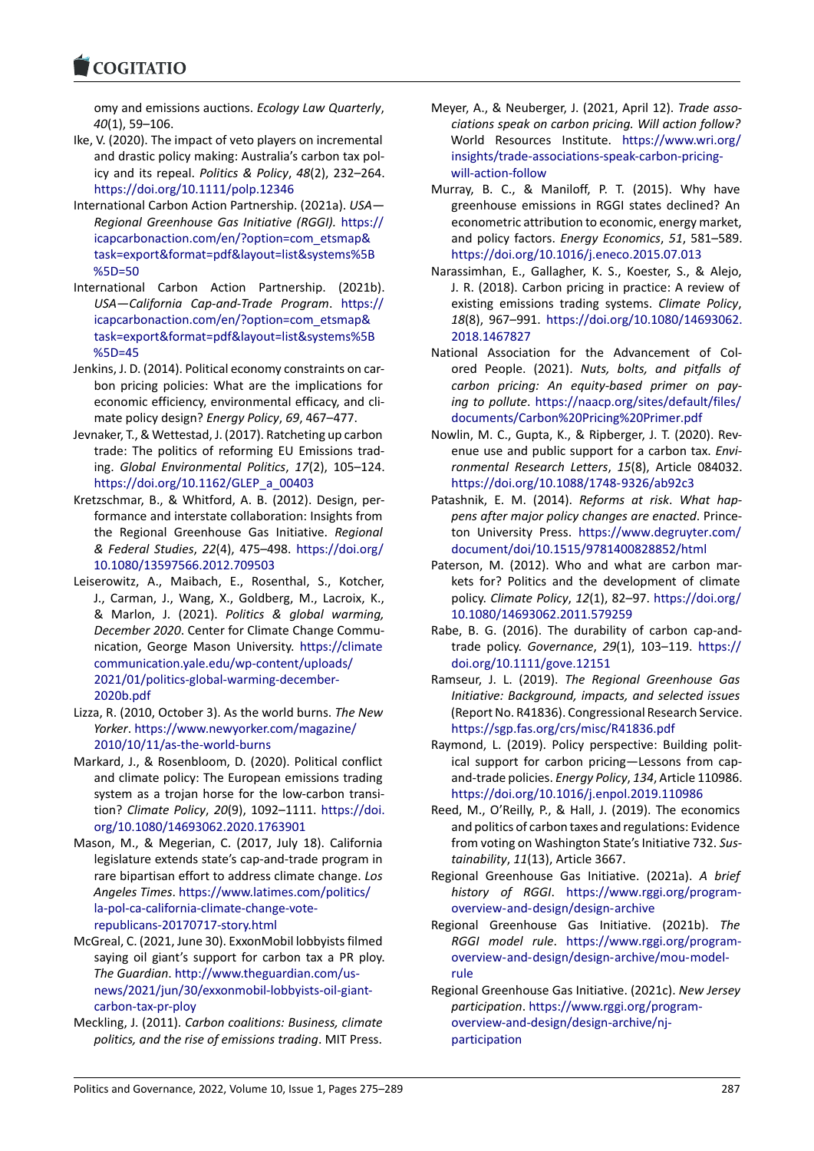#### COGHALIO

omy and emissions auctions. *Ecology Law Quarterly*, *40*(1), 59–106.

- [Ike, V. \(2020\). The im](https://www.cogitatiopress.com)pact of veto players on incremental and drastic policy making: Australia's carbon tax pol‐ icy and its repeal. *Politics & Policy*, *48*(2), 232–264. https://doi.org/10.1111/polp.12346
- International Carbon Action Partnership. (2021a). *USA— Regional Greenhouse Gas Initiative (RGGI).* https:// icapcarbonaction.com/en/?option=com\_etsmap& [task=export&format=pdf&layout=list](https://doi.org/10.1111/polp.12346)&systems%5B %5D=50
- International Carbon Action Partnership. [\(2021b\).](https://icapcarbonaction.com/en/?option=com_etsmap&task=export&format=pdf&layout=list&systems%5B%5D=50) *[USA—California Cap‐and‐Trade Program](https://icapcarbonaction.com/en/?option=com_etsmap&task=export&format=pdf&layout=list&systems%5B%5D=50)*. https:// [icapcarbonaction.com/en/?option=com\\_etsmap&](https://icapcarbonaction.com/en/?option=com_etsmap&task=export&format=pdf&layout=list&systems%5B%5D=50) [task=exp](https://icapcarbonaction.com/en/?option=com_etsmap&task=export&format=pdf&layout=list&systems%5B%5D=50)ort&format=pdf&layout=list&systems%5B %5D=45
- Jenkins, J. D. (2014). Political economy constraint[s on car‐](https://icapcarbonaction.com/en/?option=com_etsmap&task=export&format=pdf&layout=list&systems%5B%5D=45) [bon pricing policies: What are the implications f](https://icapcarbonaction.com/en/?option=com_etsmap&task=export&format=pdf&layout=list&systems%5B%5D=45)or [economic efficiency, environmental efficacy, and cl](https://icapcarbonaction.com/en/?option=com_etsmap&task=export&format=pdf&layout=list&systems%5B%5D=45)i‐ [mate po](https://icapcarbonaction.com/en/?option=com_etsmap&task=export&format=pdf&layout=list&systems%5B%5D=45)licy design? *Energy Policy*, *69*, 467–477.
- Jevnaker, T., & Wettestad, J. (2017). Ratcheting up carbon trade: The politics of reforming EU Emissions trad‐ ing. *Global Environmental Politics*, *17*(2), 105–124. https://doi.org/10.1162/GLEP\_a\_00403
- Kretzschmar, B., & Whitford, A. B. (2012). Design, per‐ formance and interstate collaboration: Insights from the Regional Greenhouse Gas Initiative. *Regional [& Federal Studies](https://doi.org/10.1162/GLEP_a_00403)*, *22*(4), 475–498. https://doi.org/ 10.1080/13597566.2012.709503
- Leiserowitz, A., Maibach, E., Rosenthal, S., Kotcher, J., Carman, J., Wang, X., Goldberg, M., Lacroix, K., & Marlon, J. (2021). *Politics & g[lobal warming,](https://doi.org/10.1080/13597566.2012.709503) December 2020*[. Center for Clima](https://doi.org/10.1080/13597566.2012.709503)te Change Commu‐ nication, George Mason University. https://climate communication.yale.edu/wp‐content/uploads/ 2021/01/politics‐global‐warming‐december‐ 2020b.pdf
- Lizza, R. (2010, October 3). As the world burns. *[The New](https://climatecommunication.yale.edu/wp-content/uploads/2021/01/politics-global-warming-december-2020b.pdf) Yorker*. [https://www.newyorker.com/magazine/](https://climatecommunication.yale.edu/wp-content/uploads/2021/01/politics-global-warming-december-2020b.pdf) [2010/10/11/as‐the‐world‐burns](https://climatecommunication.yale.edu/wp-content/uploads/2021/01/politics-global-warming-december-2020b.pdf)
- Ma[rkard, J., &](https://climatecommunication.yale.edu/wp-content/uploads/2021/01/politics-global-warming-december-2020b.pdf) Rosenbloom, D. (2020). Political conflict and climate policy: The European emissions trading system [as a trojan horse for the low‐carbon tr](https://www.newyorker.com/magazine/2010/10/11/as-the-world-burns)ansi‐ tion? *[Climate Policy](https://www.newyorker.com/magazine/2010/10/11/as-the-world-burns)*, *20*(9), 1092–1111. https://doi. org/10.1080/14693062.2020.1763901
- Mason, M., & Megerian, C. (2017, July 18). California legislature extends state's cap‐and‐trade program in rare bipartisan effort to address climate [change.](https://doi.org/10.1080/14693062.2020.1763901) *Los Angeles Times*. [https://www.latimes.co](https://doi.org/10.1080/14693062.2020.1763901)m/politics/ la‐pol‐ca‐california‐climate‐change‐vote‐ republicans‐20170717‐story.html
- McGreal, C. (2021, June 30). ExxonMobil lobbyists filmed saying oil gian[t's support for carbon tax a PR plo](https://www.latimes.com/politics/la-pol-ca-california-climate-change-vote-republicans-20170717-story.html)y. *The Guardian*. [http://www.theguardian.c](https://www.latimes.com/politics/la-pol-ca-california-climate-change-vote-republicans-20170717-story.html)om/us‐ [news/2021/jun/30/exxonmobil‐lo](https://www.latimes.com/politics/la-pol-ca-california-climate-change-vote-republicans-20170717-story.html)bbyists‐oil‐giant‐ carbon‐tax‐pr‐ploy
- Meckling, J. (2011). *Carbon coalitions: Business, climate politics, and t[he rise of emissions trading](http://www.theguardian.com/us-news/2021/jun/30/exxonmobil-lobbyists-oil-giant-carbon-tax-pr-ploy)*. MIT Press.
- Meyer, A., & Neuberger, J. (2021, April 12). *Trade asso‐ ciations speak on carbon pricing. Will action follow?* World Resources Institute. https://www.wri.org/ insights/trade‐associations‐speak‐carbon‐pricing‐ will-action-follow
- Murray, B. C., & Maniloff, P. T. (2015). Why have greenhouse emissions in RGG[I states declined? An](https://www.wri.org/insights/trade-associations-speak-carbon-pricing-will-action-follow) [econometric attribution to economic, energy mark](https://www.wri.org/insights/trade-associations-speak-carbon-pricing-will-action-follow)et, [and policy factors](https://www.wri.org/insights/trade-associations-speak-carbon-pricing-will-action-follow). *Energy Economics*, *51*, 581–589. https://doi.org/10.1016/j.eneco.2015.07.013
- Narassimhan, E., Gallagher, K. S., Koester, S., & Alejo, J. R. (2018). Carbon pricing in practice: A review of existing emissions trading systems. *Climate Policy*, *18*(8), 967–991. [https://doi.org/10.1080/146](https://doi.org/10.1016/j.eneco.2015.07.013)93062. 2018.1467827
- National Association for the Advancement of Col‐ ored People. (2021). *Nuts, bolts, and pitfalls of carbon pricing: [An equity‐based primer on pay‐](https://doi.org/10.1080/14693062.2018.1467827) [ing to pollute](https://doi.org/10.1080/14693062.2018.1467827)*. https://naacp.org/sites/default/files/ documents/Carbon%20Pricing%20Primer.pdf
- Nowlin, M. C., Gupta, K., & Ripberger, J. T. (2020). Rev‐ enue use and public support for a carbon tax. *Envi‐ ronmental Research Letters*, *15*[\(8\), Article 084032.](https://naacp.org/sites/default/files/documents/Carbon%20Pricing%20Primer.pdf) [https://doi.org/10.1088/1748‐9326/ab92c3](https://naacp.org/sites/default/files/documents/Carbon%20Pricing%20Primer.pdf)
- Patashnik, E. M. (2014). *Reforms at risk*. *What hap‐ pens after major policy changes are enacted*. Prince‐ ton University Press. https://www.degruyter.com/ [document/doi/10.1515/9781400828852/htm](https://doi.org/10.1088/1748-9326/ab92c3)l
- Paterson, M. (2012). Who and what are carbon mar‐ kets for? Politics and the development of climate policy. *Climate Policy*, *12*(1), 82–97. [https://doi.org/](https://www.degruyter.com/document/doi/10.1515/9781400828852/html) [10.1080/14693062.2011.579259](https://www.degruyter.com/document/doi/10.1515/9781400828852/html)
- Rabe, B. G. (2016). The durability of carbon cap-andtrade policy. *Governance*, *29*(1), 103–119. https:// doi.org/10.1111/gove.12151
- Ra[mseur, J. L. \(2019\).](https://doi.org/10.1080/14693062.2011.579259) *The Regional Greenhouse Gas Initiative: Background, impacts, and selected issues* (Report No. R41836). Congressional Research [Service.](https://doi.org/10.1111/gove.12151) [https://sgp.fas.org/crs/misc/](https://doi.org/10.1111/gove.12151)R41836.pdf
- Raymond, L. (2019). Policy perspective: Building polit‐ ical support for carbon pricing—Lessons from cap‐ and‐trade policies. *Energy Policy*, *134*, Article 110986. [https://doi.org/10.1016/j.enpol.2019.11](https://sgp.fas.org/crs/misc/R41836.pdf)0986
- Reed, M., O'Reilly, P., & Hall, J. (2019). The economics and politics of carbon taxes and regulations: Evidence from voting on Washington State's Initiative 732. *Sus‐ tainability*, *11*[\(13\), Article 3667.](https://doi.org/10.1016/j.enpol.2019.110986)
- Regional Greenhouse Gas Initiative. (2021a). *A brief history of RGGI*. https://www.rggi.org/program‐ overview‐and‐design/design‐archive
- Regional Greenhouse Gas Initiative. (2021b). *The RGGI model rule*. https://www.rggi.org/program‐ overview‐and‐desig[n/design‐archive/mou‐model‐](https://www.rggi.org/program-overview-and-design/design-archive) [rule](https://www.rggi.org/program-overview-and-design/design-archive)
- Regional Greenhouse Gas Initiative. (2021c). *New Jersey participation*. https:[//www.rggi.org/program‐](https://www.rggi.org/program-overview-and-design/design-archive/mou-model-rule) [overview‐and‐design/design‐archive/nj‐](https://www.rggi.org/program-overview-and-design/design-archive/mou-model-rule) [part](https://www.rggi.org/program-overview-and-design/design-archive/mou-model-rule)icipation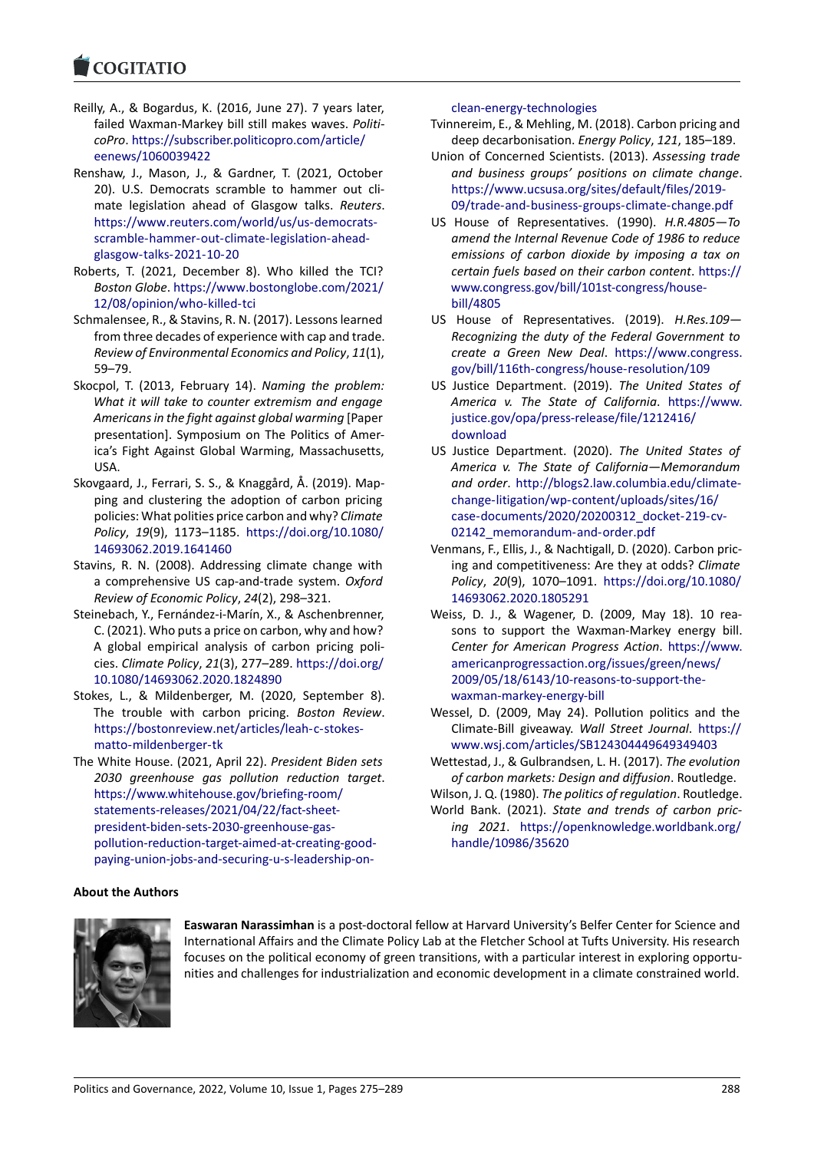#### COMITATIO

- Reilly, A., & Bogardus, K. (2016, June 27). 7 years later, [failed Waxman‐M](https://www.cogitatiopress.com)arkey bill still makes waves. *Politi‐ coPro*. https://subscriber.politicopro.com/article/ eenews/1060039422
- Renshaw, J., Mason, J., & Gardner, T. (2021, October 20). U.S. Democrats scramble to hammer out cli‐ mate [legislation ahead of Glasgow talks.](https://subscriber.politicopro.com/article/eenews/1060039422) *Reuters*. [https://www.reuters.](https://subscriber.politicopro.com/article/eenews/1060039422)com/world/us/us‐democrats‐ scramble‐hammer‐out‐climate‐legislation‐ahead‐ glasgow‐talks‐2021‐10‐20
- Roberts, T. (2021, December 8). Who killed the TCI? *Boston Globe*. [https://www.bostonglobe.com/2021](https://www.reuters.com/world/us/us-democrats-scramble-hammer-out-climate-legislation-ahead-glasgow-talks-2021-10-20)/ [12/08/opinion/who‐killed‐tci](https://www.reuters.com/world/us/us-democrats-scramble-hammer-out-climate-legislation-ahead-glasgow-talks-2021-10-20)
- Sch[malensee, R., & Stavins, R. N](https://www.reuters.com/world/us/us-democrats-scramble-hammer-out-climate-legislation-ahead-glasgow-talks-2021-10-20). (2017). Lessons learned from three decades of experience with cap and trade. *Review of Envi[ronmental Economics and Policy](https://www.bostonglobe.com/2021/12/08/opinion/who-killed-tci)*, *11*(1), [59–79.](https://www.bostonglobe.com/2021/12/08/opinion/who-killed-tci)
- Skocpol, T. (2013, February 14). *Naming the problem: What it will take to counter extremism and engage Americans in the fight against global warming* [Paper presentation]. Symposium on The Politics of Amer‐ ica's Fight Against Global Warming, Massachusetts, USA.
- Skovgaard, J., Ferrari, S. S., & Knaggård, Å. (2019). Map‐ ping and clustering the adoption of carbon pricing policies: What polities price carbon and why? *Climate Policy*, *19*(9), 1173–1185. https://doi.org/10.1080/ 14693062.2019.1641460
- Stavins, R. N. (2008). Addressing climate change with a comprehensive US cap‐and‐trade system. *Oxford Review of Economic Policy*, *24*[\(2\), 298–321.](https://doi.org/10.1080/14693062.2019.1641460)
- Stei[nebach, Y., Fernández‐i‐M](https://doi.org/10.1080/14693062.2019.1641460)arín, X., & Aschenbrenner, C. (2021). Who puts a price on carbon, why and how? A global empirical analysis of carbon pricing poli‐ cies. *Climate Policy*, *21*(3), 277–289. https://doi.org/ 10.1080/14693062.2020.1824890
- Stokes, L., & Mildenberger, M. (2020, September 8). The trouble with carbon pricing. *Boston Review*. https://bostonreview.net/articles/le[ah‐c‐stokes‐](https://doi.org/10.1080/14693062.2020.1824890) [matto‐mildenberger‐tk](https://doi.org/10.1080/14693062.2020.1824890)
- The White House. (2021, April 22). *President Biden sets 2030 greenhouse gas pollution reduction target*. [https://www.whitehouse.gov/briefing‐room/](https://bostonreview.net/articles/leah-c-stokes-matto-mildenberger-tk) [statements‐releases/20](https://bostonreview.net/articles/leah-c-stokes-matto-mildenberger-tk)21/04/22/fact‐sheet‐ president‐biden‐sets‐2030‐greenhouse‐gas‐ pollution‐reduction‐target‐aimed‐at‐creating‐good‐ [paying‐union‐jobs‐and‐securing‐u‐s‐leadershi](https://www.whitehouse.gov/briefing-room/statements-releases/2021/04/22/fact-sheet-president-biden-sets-2030-greenhouse-gas-pollution-reduction-target-aimed-at-creating-good-paying-union-jobs-and-securing-u-s-leadership-on-clean-energy-technologies)p‐on‐

## clean‐energy‐technologies

- Tvinnereim, E., & Mehling, M. (2018). Carbon pricing and deep decarbonisation. *Energy Policy*, *121*, 185–189.
- Union of Concerned Scientists. (2013). *Assessing trade [and business groups' posi](https://www.whitehouse.gov/briefing-room/statements-releases/2021/04/22/fact-sheet-president-biden-sets-2030-greenhouse-gas-pollution-reduction-target-aimed-at-creating-good-paying-union-jobs-and-securing-u-s-leadership-on-clean-energy-technologies)tions on climate change*. https://www.ucsusa.org/sites/default/files/2019‐ 09/trade‐and‐business‐groups‐climate‐change.pdf
- US House of Representatives. (1990). *H.R.4805*—*To amend the Internal Revenue Code of 1986 to reduce [emissions of carbon dioxide by imposing a tax](https://www.ucsusa.org/sites/default/files/2019-09/trade-and-business-groups-climate-change.pdf) on [certain fuels based on their carbon content](https://www.ucsusa.org/sites/default/files/2019-09/trade-and-business-groups-climate-change.pdf)*. https:// www.congress.gov/bill/101st-congress/housebill/4805
- US House of Representatives. (2019). *H.Res.109— Recognizing the duty of the Federal Govern[ment to](https://www.congress.gov/bill/101st-congress/house-bill/4805) [create a Green New Deal](https://www.congress.gov/bill/101st-congress/house-bill/4805)*. https://www.congress. [gov/bill/1](https://www.congress.gov/bill/101st-congress/house-bill/4805)16th‐congress/house‐resolution/109
- US Justice Department. (2019). *The United States of America v. The State of California*. https://www. justice.gov/opa/press‐release[/file/1212416/](https://www.congress.gov/bill/116th-congress/house-resolution/109) [download](https://www.congress.gov/bill/116th-congress/house-resolution/109)
- US Justice Department. (2020). *The United States of America v. The State of California—[Memorandum](https://www.justice.gov/opa/press-release/file/1212416/download) and order*. [http://blogs2.law.columbia.edu/](https://www.justice.gov/opa/press-release/file/1212416/download)climate‐ [change‐liti](https://www.justice.gov/opa/press-release/file/1212416/download)gation/wp‐content/uploads/sites/16/ case‐documents/2020/20200312\_docket‐219‐cv‐ 02142\_memorandum‐and‐order.pdf
- Venmans, F., El[lis, J., & Nachtigall, D. \(2020\). Carbon pric‐](http://blogs2.law.columbia.edu/climate-change-litigation/wp-content/uploads/sites/16/case-documents/2020/20200312_docket-219-cv-02142_memorandum-and-order.pdf) [ing and competitiveness: Are they at odds?](http://blogs2.law.columbia.edu/climate-change-litigation/wp-content/uploads/sites/16/case-documents/2020/20200312_docket-219-cv-02142_memorandum-and-order.pdf) *Climate Policy*, *20*(9), 1070–1091. [https://doi.org/10.108](http://blogs2.law.columbia.edu/climate-change-litigation/wp-content/uploads/sites/16/case-documents/2020/20200312_docket-219-cv-02142_memorandum-and-order.pdf)0/ [14693062.2020.1805291](http://blogs2.law.columbia.edu/climate-change-litigation/wp-content/uploads/sites/16/case-documents/2020/20200312_docket-219-cv-02142_memorandum-and-order.pdf)
- Weiss, D. J., & Wagener, D. (2009, May 18). 10 rea‐ sons to support the Waxman-Markey energy bill. *Center for American Progress Action*. [https://www.](https://doi.org/10.1080/14693062.2020.1805291) [americanprogressaction.o](https://doi.org/10.1080/14693062.2020.1805291)rg/issues/green/news/ 2009/05/18/6143/10‐reasons‐to‐support‐the‐ waxman‐markey‐energy‐bill
- Wessel, D. (2009, May 24). Pollution pol[itics and the](https://www.americanprogressaction.org/issues/green/news/2009/05/18/6143/10-reasons-to-support-the-waxman-markey-energy-bill) [Climate‐Bill giveaway.](https://www.americanprogressaction.org/issues/green/news/2009/05/18/6143/10-reasons-to-support-the-waxman-markey-energy-bill) *Wall Street Journal*. https:// [www.wsj.com/articles/SB12430444964934940](https://www.americanprogressaction.org/issues/green/news/2009/05/18/6143/10-reasons-to-support-the-waxman-markey-energy-bill)3
- We[ttestad, J., & Gulbrandsen, L.](https://www.americanprogressaction.org/issues/green/news/2009/05/18/6143/10-reasons-to-support-the-waxman-markey-energy-bill) H. (2017). *The evolution of carbon markets: Design and diffusion*. Routledge.
- Wilson, J. Q. (1980). *The politics of regulation*. Ro[utledge.](https://www.wsj.com/articles/SB124304449649349403) World Bank. (2021). *[State and trends of carbon p](https://www.wsj.com/articles/SB124304449649349403)ric‐ ing 2021*. https://openknowledge.worldbank.org/ handle/10986/35620

### **Ab[out the Authors](https://www.whitehouse.gov/briefing-room/statements-releases/2021/04/22/fact-sheet-president-biden-sets-2030-greenhouse-gas-pollution-reduction-target-aimed-at-creating-good-paying-union-jobs-and-securing-u-s-leadership-on-clean-energy-technologies)**



**[Easwaran Narassimhan](https://www.whitehouse.gov/briefing-room/statements-releases/2021/04/22/fact-sheet-president-biden-sets-2030-greenhouse-gas-pollution-reduction-target-aimed-at-creating-good-paying-union-jobs-and-securing-u-s-leadership-on-clean-energy-technologies)** is a post‐doctoral fellow [at Harvard University](https://openknowledge.worldbank.org/handle/10986/35620)'s Belfer Center for Science and International Affairs and the Climate Policy Lab at the Fletcher School at Tufts University. His research focuses on the political economy of green transitions, with a particular interest in exploring opportunities and challenges for industrialization and economic development in a climate constrained world.